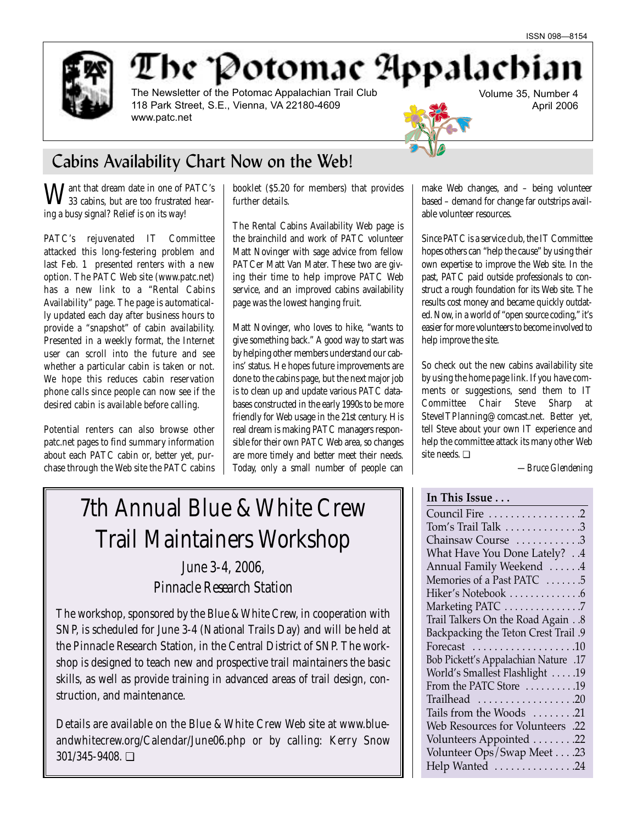

The Potomac Appalachian

The Newsletter of the Potomac Appalachian Trail Club 118 Park Street, S.E., Vienna, VA 22180-4609 www.patc.net

Volume 35, Number 4 April 2006

# Cabins Availability Chart Now on the Web!

Want that dream date in one of PATC's 33 cabins, but are too frustrated hearing a busy signal? Relief is on its way!

PATC's rejuvenated IT Committee attacked this long-festering problem and last Feb. 1 presented renters with a new option. The PATC Web site (www.patc.net) has a new link to a "Rental Cabins Availability" page. The page is automatically updated each day after business hours to provide a "snapshot" of cabin availability. Presented in a weekly format, the Internet user can scroll into the future and see whether a particular cabin is taken or not. We hope this reduces cabin reservation phone calls since people can now see if the desired cabin is available before calling.

Potential renters can also browse other patc.net pages to find summary information about each PATC cabin or, better yet, purchase through the Web site the PATC cabins booklet (\$5.20 for members) that provides further details.

The Rental Cabins Availability Web page is the brainchild and work of PATC volunteer Matt Novinger with sage advice from fellow PATCer Matt Van Mater. These two are giving their time to help improve PATC Web service, and an improved cabins availability page was the lowest hanging fruit.

Matt Novinger, who loves to hike, "wants to give something back." A good way to start was by helping other members understand our cabins' status. He hopes future improvements are done to the cabins page, but the next major job is to clean up and update various PATC databases constructed in the early 1990s to be more friendly for Web usage in the 21st century. His real dream is making PATC managers responsible for their own PATC Web area, so changes are more timely and better meet their needs. Today, only a small number of people can

# 7th Annual Blue & White Crew Trail Maintainers Workshop

*June 3-4, 2006, Pinnacle Research Station*

The workshop, sponsored by the Blue & White Crew, in cooperation with SNP, is scheduled for June 3-4 (National Trails Day) and will be held at the Pinnacle Research Station, in the Central District of SNP. The workshop is designed to teach new and prospective trail maintainers the basic skills, as well as provide training in advanced areas of trail design, construction, and maintenance.

Details are available on the Blue & White Crew Web site at www.blueandwhitecrew.org/Calendar/June06.php or by calling: Kerry Snow 301/345-9408. ❏

make Web changes, and – being volunteer based – demand for change far outstrips available volunteer resources.

Since PATC is a service club, the IT Committee hopes others can "help the cause" by using their own expertise to improve the Web site. In the past, PATC paid outside professionals to construct a rough foundation for its Web site. The results cost money and became quickly outdated. Now, in a world of "open source coding," it's easier for more volunteers to become involved to help improve the site.

So check out the new cabins availability site by using the home page link. If you have comments or suggestions, send them to IT Committee Chair Steve Sharp at SteveITPlanning@comcast.net. Better yet, tell Steve about your own IT experience and help the committee attack its many other Web site needs. ❏

*—Bruce Glendening*

## **In This Issue . . .**

Council Fire . . . . . . . . . . . . . . . . .2 Tom's Trail Talk . . . . . . . . . . . . . .3 Chainsaw Course ...........3 What Have You Done Lately? . .4 Annual Family Weekend . . . . . .4 Memories of a Past PATC .......5 Hiker's Notebook . . . . . . . . . . . . . . 6 Marketing PATC . . . . . . . . . . . . . . .7 Trail Talkers On the Road Again . .8 Backpacking the Teton Crest Trail .9 Forecast . . . . . . . . . . . . . . . . . . .10 Bob Pickett's Appalachian Nature .17 World's Smallest Flashlight . . . . .19 From the PATC Store ..........19 Trailhead . . . . . . . . . . . . . . . . . .20 Tails from the Woods . . . . . . . .21 Web Resources for Volunteers .22 Volunteers Appointed . . . . . . . .22 Volunteer Ops/Swap Meet . . . .23 Help Wanted ...............24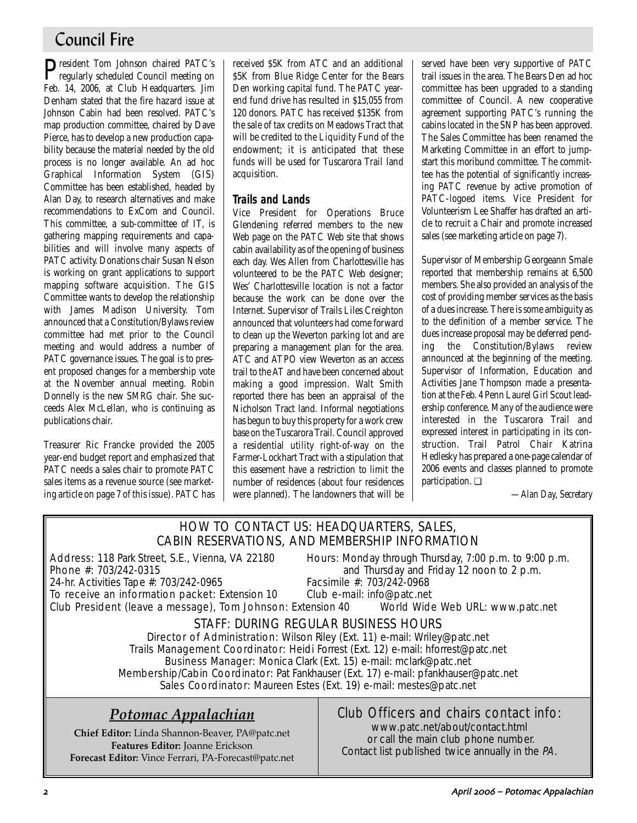# Council Fire

**P**resident Tom Johnson chaired PATC's<br>regularly scheduled Council meeting on Feb. 14, 2006, at Club Headquarters. Jim Denham stated that the fire hazard issue at Johnson Cabin had been resolved. PATC's map production committee, chaired by Dave Pierce, has to develop a new production capability because the material needed by the old process is no longer available. An ad hoc Graphical Information System (GIS) Committee has been established, headed by Alan Day, to research alternatives and make recommendations to ExCom and Council. This committee, a sub-committee of IT, is gathering mapping requirements and capabilities and will involve many aspects of PATC activity. Donations chair Susan Nelson is working on grant applications to support mapping software acquisition. The GIS Committee wants to develop the relationship with James Madison University. Tom announced that a Constitution/Bylaws review committee had met prior to the Council meeting and would address a number of PATC governance issues. The goal is to present proposed changes for a membership vote at the November annual meeting. Robin Donnelly is the new SMRG chair. She succeeds Alex McLellan, who is continuing as publications chair.

Treasurer Ric Francke provided the 2005 year-end budget report and emphasized that PATC needs a sales chair to promote PATC sales items as a revenue source (see marketing article on page 7 of this issue). PATC has received \$5K from ATC and an additional \$5K from Blue Ridge Center for the Bears Den working capital fund. The PATC yearend fund drive has resulted in \$15,055 from 120 donors. PATC has received \$135K from the sale of tax credits on Meadows Tract that will be credited to the Liquidity Fund of the endowment; it is anticipated that these funds will be used for Tuscarora Trail land acquisition.

### **Trails and Lands**

Vice President for Operations Bruce Glendening referred members to the new Web page on the PATC Web site that shows cabin availability as of the opening of business each day. Wes Allen from Charlottesville has volunteered to be the PATC Web designer; Wes' Charlottesville location is not a factor because the work can be done over the Internet. Supervisor of Trails Liles Creighton announced that volunteers had come forward to clean up the Weverton parking lot and are preparing a management plan for the area. ATC and ATPO view Weverton as an access trail to the AT and have been concerned about making a good impression. Walt Smith reported there has been an appraisal of the Nicholson Tract land. Informal negotiations has begun to buy this property for a work crew base on the Tuscarora Trail. Council approved a residential utility right-of-way on the Farmer-Lockhart Tract with a stipulation that this easement have a restriction to limit the number of residences (about four residences were planned). The landowners that will be served have been very supportive of PATC trail issues in the area. The Bears Den ad hoc committee has been upgraded to a standing committee of Council. A new cooperative agreement supporting PATC's running the cabins located in the SNP has been approved. The Sales Committee has been renamed the Marketing Committee in an effort to jumpstart this moribund committee. The committee has the potential of significantly increasing PATC revenue by active promotion of PATC-logoed items. Vice President for Volunteerism Lee Shaffer has drafted an article to recruit a Chair and promote increased sales (see marketing article on page 7).

Supervisor of Membership Georgeann Smale reported that membership remains at 6,500 members. She also provided an analysis of the cost of providing member services as the basis of a dues increase. There is some ambiguity as to the definition of a member service. The dues increase proposal may be deferred pending the Constitution/Bylaws review announced at the beginning of the meeting. Supervisor of Information, Education and Activities Jane Thompson made a presentation at the Feb. 4 Penn Laurel Girl Scout leadership conference. Many of the audience were interested in the Tuscarora Trail and expressed interest in participating in its construction. Trail Patrol Chair Katrina Hedlesky has prepared a one-page calendar of 2006 events and classes planned to promote participation. ❏

*—Alan Day, Secretary*

### HOW TO CONTACT US: HEADQUARTERS, SALES, CABIN RESERVATIONS, AND MEMBERSHIP INFORMATION

Address: 118 Park Street, S.E., Vienna, VA 22180 Hours: Monday through Thursday, 7:00 p.m. to 9:00 p.m.<br>Phone #: 703/242-0315 **Phone** #: 703/242-0315

and Thursday and Friday 12 noon to 2 p.m.<br>Facsimile #: 703/242-0968

24-hr. Activities Tape #: 703/242-0965 Facsimile #: 703/242-0968<br>To receive an information packet: Extension 10 Club e-mail: info@patc.net To receive an information packet: Extension 10

Club President (leave a message), Tom Johnson: Extension 40 World Wide Web URL: www.patc.net

### STAFF: DURING REGULAR BUSINESS HOURS

Director of Administration: Wilson Riley (Ext. 11) e-mail: Wriley@patc.net Trails Management Coordinator: Heidi Forrest (Ext. 12) e-mail: hforrest@patc.net Business Manager: Monica Clark (Ext. 15) e-mail: mclark@patc.net Membership/Cabin Coordinator: Pat Fankhauser (Ext. 17) e-mail: pfankhauser@patc.net Sales Coordinator: Maureen Estes (Ext. 19) e-mail: mestes@patc.net

## *Potomac Appalachian*

**Chief Editor:** Linda Shannon-Beaver, PA@patc.net **Features Editor:** Joanne Erickson **Forecast Editor:** Vince Ferrari, PA-Forecast@patc.net

### Club Officers and chairs contact info:

www.patc.net/about/contact.html or call the main club phone number. Contact list published twice annually in the PA.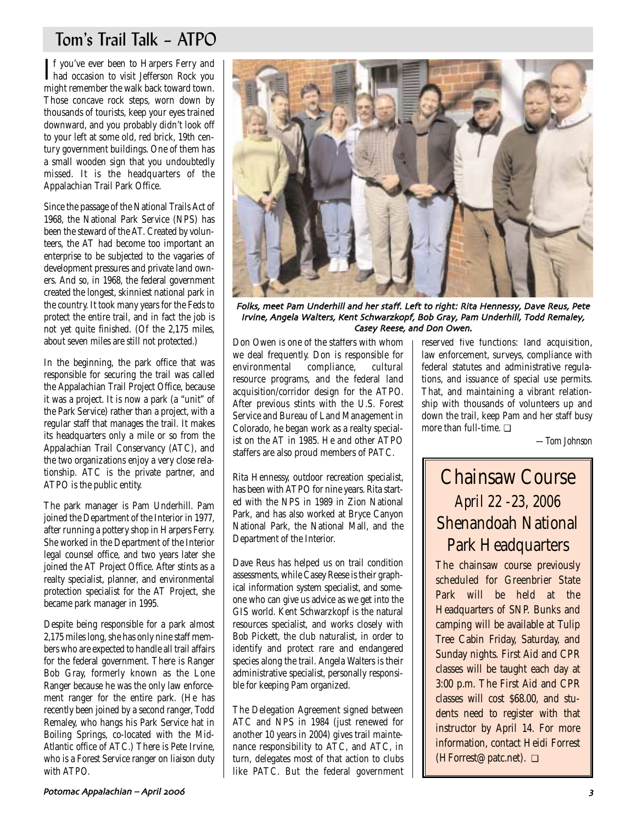# Tom's Trail Talk – ATPO

If you've ever been to Harpers Ferry and<br>had occasion to visit Jefferson Rock you **T**f you've ever been to Harpers Ferry and might remember the walk back toward town. Those concave rock steps, worn down by thousands of tourists, keep your eyes trained downward, and you probably didn't look off to your left at some old, red brick, 19th century government buildings. One of them has a small wooden sign that you undoubtedly missed. It is the headquarters of the Appalachian Trail Park Office.

Since the passage of the National Trails Act of 1968, the National Park Service (NPS) has been the steward of the AT. Created by volunteers, the AT had become too important an enterprise to be subjected to the vagaries of development pressures and private land owners. And so, in 1968, the federal government created the longest, skinniest national park in the country. It took many years for the Feds to protect the entire trail, and in fact the job is not yet quite finished. (Of the 2,175 miles, about seven miles are still not protected.)

In the beginning, the park office that was responsible for securing the trail was called the Appalachian Trail Project Office, because it was a project. It is now a park (a "unit" of the Park Service) rather than a project, with a regular staff that manages the trail. It makes its headquarters only a mile or so from the Appalachian Trail Conservancy (ATC), and the two organizations enjoy a very close relationship. ATC is the private partner, and ATPO is the public entity.

The park manager is Pam Underhill. Pam joined the Department of the Interior in 1977, after running a pottery shop in Harpers Ferry. She worked in the Department of the Interior legal counsel office, and two years later she joined the AT Project Office. After stints as a realty specialist, planner, and environmental protection specialist for the AT Project, she became park manager in 1995.

Despite being responsible for a park almost 2,175 miles long, she has only nine staff members who are expected to handle all trail affairs for the federal government. There is Ranger Bob Gray, formerly known as the Lone Ranger because he was the only law enforcement ranger for the entire park. (He has recently been joined by a second ranger, Todd Remaley, who hangs his Park Service hat in Boiling Springs, co-located with the Mid-Atlantic office of ATC.) There is Pete Irvine, who is a Forest Service ranger on liaison duty with ATPO.



Folks, meet Pam Underhill and her staff. Left to right: Rita Hennessy, Dave Reus, Pete Irvine, Angela Walters, Kent Schwarzkopf, Bob Gray, Pam Underhill, Todd Remaley, Casey Reese, and Don Owen.

Don Owen is one of the staffers with whom we deal frequently. Don is responsible for<br>environmental compliance, cultural environmental compliance, cultural resource programs, and the federal land acquisition/corridor design for the ATPO. After previous stints with the U.S. Forest Service and Bureau of Land Management in Colorado, he began work as a realty specialist on the AT in 1985. He and other ATPO staffers are also proud members of PATC.

Rita Hennessy, outdoor recreation specialist, has been with ATPO for nine years. Rita started with the NPS in 1989 in Zion National Park, and has also worked at Bryce Canyon National Park, the National Mall, and the Department of the Interior.

Dave Reus has helped us on trail condition assessments, while Casey Reese is their graphical information system specialist, and someone who can give us advice as we get into the GIS world. Kent Schwarzkopf is the natural resources specialist, and works closely with Bob Pickett, the club naturalist, in order to identify and protect rare and endangered species along the trail. Angela Walters is their administrative specialist, personally responsible for keeping Pam organized.

The Delegation Agreement signed between ATC and NPS in 1984 (just renewed for another 10 years in 2004) gives trail maintenance responsibility to ATC, and ATC, in turn, delegates most of that action to clubs like PATC. But the federal government

reserved five functions: land acquisition, law enforcement, surveys, compliance with federal statutes and administrative regulations, and issuance of special use permits. That, and maintaining a vibrant relationship with thousands of volunteers up and down the trail, keep Pam and her staff busy more than full-time. ❏

*—Tom Johnson*

# Chainsaw Course *April 22 -23, 2006* Shenandoah National Park Headquarters

The chainsaw course previously scheduled for Greenbrier State Park will be held at the Headquarters of SNP. Bunks and camping will be available at Tulip Tree Cabin Friday, Saturday, and Sunday nights. First Aid and CPR classes will be taught each day at 3:00 p.m. The First Aid and CPR classes will cost \$68.00, and students need to register with that instructor by April 14. For more information, contact Heidi Forrest (HForrest@patc.net). ❏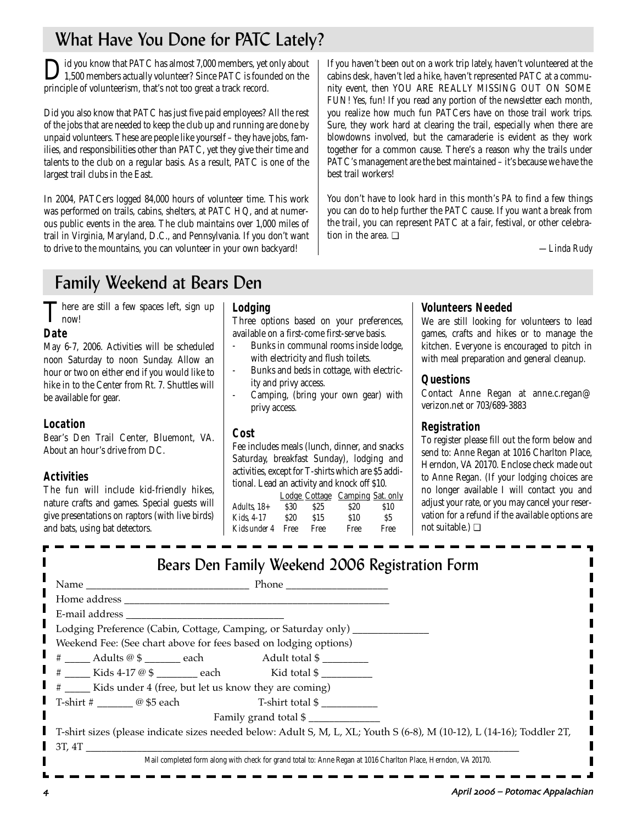# What Have You Done for PATC Lately?

lid you know that PATC has almost 7,000 members, yet only about 1,500 members actually volunteer? Since PATC is founded on the principle of volunteerism, that's not too great a track record.

Did you also know that PATC has just five paid employees? All the rest of the jobs that are needed to keep the club up and running are done by unpaid volunteers. These are people like yourself – they have jobs, families, and responsibilities other than PATC, yet they give their time and talents to the club on a regular basis. As a result, PATC is one of the largest trail clubs in the East.

In 2004, PATCers logged 84,000 hours of volunteer time. This work was performed on trails, cabins, shelters, at PATC HQ, and at numerous public events in the area. The club maintains over 1,000 miles of trail in Virginia, Maryland, D.C., and Pennsylvania. If you don't want to drive to the mountains, you can volunteer in your own backyard!

If you haven't been out on a work trip lately, haven't volunteered at the cabins desk, haven't led a hike, haven't represented PATC at a community event, then YOU ARE REALLY MISSING OUT ON SOME FUN! Yes, fun! If you read any portion of the newsletter each month, you realize how much fun PATCers have on those trail work trips. Sure, they work hard at clearing the trail, especially when there are blowdowns involved, but the camaraderie is evident as they work together for a common cause. There's a reason why the trails under PATC's management are the best maintained – it's because we have the best trail workers!

You don't have to look hard in this month's *PA* to find a few things you can do to help further the PATC cause. If you want a break from the trail, you can represent PATC at a fair, festival, or other celebration in the area. ❏

*—Linda Rudy*

# Family Weekend at Bears Den

There are still a few spaces left, sign up  $\mathbf{I}$  now!

### **Date**

May 6-7, 2006. Activities will be scheduled noon Saturday to noon Sunday. Allow an hour or two on either end if you would like to hike in to the Center from Rt. 7. Shuttles will be available for gear.

### **Location**

Bear's Den Trail Center, Bluemont, VA. About an hour's drive from DC.

### **Activities**

The fun will include kid-friendly hikes, nature crafts and games. Special guests will give presentations on raptors (with live birds) and bats, using bat detectors.

#### **Lodging**

Three options based on your preferences, available on a first-come first-serve basis.

- Bunks in communal rooms inside lodge, with electricity and flush toilets.
- Bunks and beds in cottage, with electricity and privy access.
- Camping, (bring your own gear) with privy access.

#### **Cost**

Fee includes meals (lunch, dinner, and snacks Saturday, breakfast Sunday), lodging and activities, except for T-shirts which are \$5 additional. Lead an activity and knock off \$10.

|               |            |                 | Lodge Cottage Camping Sat. only |      |
|---------------|------------|-----------------|---------------------------------|------|
| Adults, $18+$ | S30        | S <sub>25</sub> | <b>S20</b>                      | \$10 |
| Kids. 4-17    | <b>S20</b> | \$15            | \$10                            | S5   |
| Kids under 4  | Free       | Free            | Free                            | Free |

### **Volunteers Needed**

We are still looking for volunteers to lead games, crafts and hikes or to manage the kitchen. Everyone is encouraged to pitch in with meal preparation and general cleanup.

### **Questions**

Contact Anne Regan at anne.c.regan@ verizon.net or 703/689-3883

### **Registration**

To register please fill out the form below and send to: Anne Regan at 1016 Charlton Place, Herndon, VA 20170. Enclose check made out to Anne Regan. (If your lodging choices are no longer available I will contact you and adjust your rate, or you may cancel your reservation for a refund if the available options are not suitable.) ❏

| Bears Den Family Weekend 2006 Registration Form                                                                        |  |  |  |
|------------------------------------------------------------------------------------------------------------------------|--|--|--|
| Name Phone Phone                                                                                                       |  |  |  |
|                                                                                                                        |  |  |  |
|                                                                                                                        |  |  |  |
| Lodging Preference (Cabin, Cottage, Camping, or Saturday only) ___________                                             |  |  |  |
| Weekend Fee: (See chart above for fees based on lodging options)                                                       |  |  |  |
| # _____ Adults @ \$ _______ each Adult total \$ _________                                                              |  |  |  |
| $\#$ Kids 4-17 @ \$ each Kid total \$                                                                                  |  |  |  |
| # _____ Kids under 4 (free, but let us know they are coming)                                                           |  |  |  |
| T-shirt # $\qquad \qquad \qquad \textcircled{f5}$ each $\qquad \qquad$ T-shirt total \$                                |  |  |  |
| Family grand total \$                                                                                                  |  |  |  |
| T-shirt sizes (please indicate sizes needed below: Adult S, M, L, XL; Youth S (6-8), M (10-12), L (14-16); Toddler 2T, |  |  |  |
| 3T, 4T                                                                                                                 |  |  |  |
| Mail completed form along with check for grand total to: Anne Regan at 1016 Charlton Place, Herndon, VA 20170.         |  |  |  |
|                                                                                                                        |  |  |  |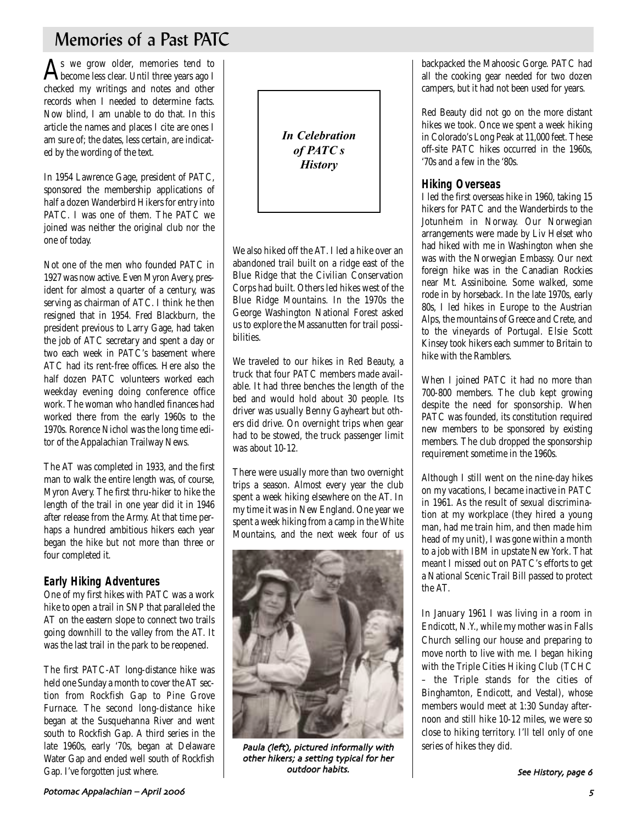# Memories of a Past PATC

 $\mathbf{A}$ s we grow older, memories tend to become less clear. Until three years ago I checked my writings and notes and other records when I needed to determine facts. Now blind, I am unable to do that. In this article the names and places I cite are ones I am sure of; the dates, less certain, are indicated by the wording of the text.

In 1954 Lawrence Gage, president of PATC, sponsored the membership applications of half a dozen Wanderbird Hikers for entry into PATC. I was one of them. The PATC we joined was neither the original club nor the one of today.

Not one of the men who founded PATC in 1927 was now active. Even Myron Avery, president for almost a quarter of a century, was serving as chairman of ATC. I think he then resigned that in 1954. Fred Blackburn, the president previous to Larry Gage, had taken the job of ATC secretary and spent a day or two each week in PATC's basement where ATC had its rent-free offices. Here also the half dozen PATC volunteers worked each weekday evening doing conference office work. The woman who handled finances had worked there from the early 1960s to the 1970s. Rorence Nichol was the long time editor of the Appalachian Trailway News.

The AT was completed in 1933, and the first man to walk the entire length was, of course, Myron Avery. The first thru-hiker to hike the length of the trail in one year did it in 1946 after release from the Army. At that time perhaps a hundred ambitious hikers each year began the hike but not more than three or four completed it.

### **Early Hiking Adventures**

One of my first hikes with PATC was a work hike to open a trail in SNP that paralleled the AT on the eastern slope to connect two trails going downhill to the valley from the AT. It was the last trail in the park to be reopened.

The first PATC-AT long-distance hike was held one Sunday a month to cover the AT section from Rockfish Gap to Pine Grove Furnace. The second long-distance hike began at the Susquehanna River and went south to Rockfish Gap. A third series in the late 1960s, early '70s, began at Delaware Water Gap and ended well south of Rockfish Gap. I've forgotten just where.



We also hiked off the AT. I led a hike over an abandoned trail built on a ridge east of the Blue Ridge that the Civilian Conservation Corps had built. Others led hikes west of the Blue Ridge Mountains. In the 1970s the George Washington National Forest asked us to explore the Massanutten for trail possibilities.

We traveled to our hikes in Red Beauty, a truck that four PATC members made available. It had three benches the length of the bed and would hold about 30 people. Its driver was usually Benny Gayheart but others did drive. On overnight trips when gear had to be stowed, the truck passenger limit was about 10-12.

There were usually more than two overnight trips a season. Almost every year the club spent a week hiking elsewhere on the AT. In my time it was in New England. One year we spent a week hiking from a camp in the White Mountains, and the next week four of us



Paula (left), pictured informally with other hikers; a setting typical for her outdoor habits

backpacked the Mahoosic Gorge. PATC had all the cooking gear needed for two dozen campers, but it had not been used for years.

Red Beauty did not go on the more distant hikes we took. Once we spent a week hiking in Colorado's Long Peak at 11,000 feet. These off-site PATC hikes occurred in the 1960s, '70s and a few in the '80s.

### **Hiking Overseas**

I led the first overseas hike in 1960, taking 15 hikers for PATC and the Wanderbirds to the Jotunheim in Norway. Our Norwegian arrangements were made by Liv Helset who had hiked with me in Washington when she was with the Norwegian Embassy. Our next foreign hike was in the Canadian Rockies near Mt. Assiniboine. Some walked, some rode in by horseback. In the late 1970s, early 80s, I led hikes in Europe to the Austrian Alps, the mountains of Greece and Crete, and to the vineyards of Portugal. Elsie Scott Kinsey took hikers each summer to Britain to hike with the Ramblers.

When I joined PATC it had no more than 700-800 members. The club kept growing despite the need for sponsorship. When PATC was founded, its constitution required new members to be sponsored by existing members. The club dropped the sponsorship requirement sometime in the 1960s.

Although I still went on the nine-day hikes on my vacations, I became inactive in PATC in 1961. As the result of sexual discrimination at my workplace (they hired a young man, had me train him, and then made him head of my unit), I was gone within a month to a job with IBM in upstate New York. That meant I missed out on PATC's efforts to get a National Scenic Trail Bill passed to protect the AT.

In January 1961 I was living in a room in Endicott, N.Y., while my mother was in Falls Church selling our house and preparing to move north to live with me. I began hiking with the Triple Cities Hiking Club (TCHC – the Triple stands for the cities of Binghamton, Endicott, and Vestal), whose members would meet at 1:30 Sunday afternoon and still hike 10-12 miles, we were so close to hiking territory. I'll tell only of one series of hikes they did.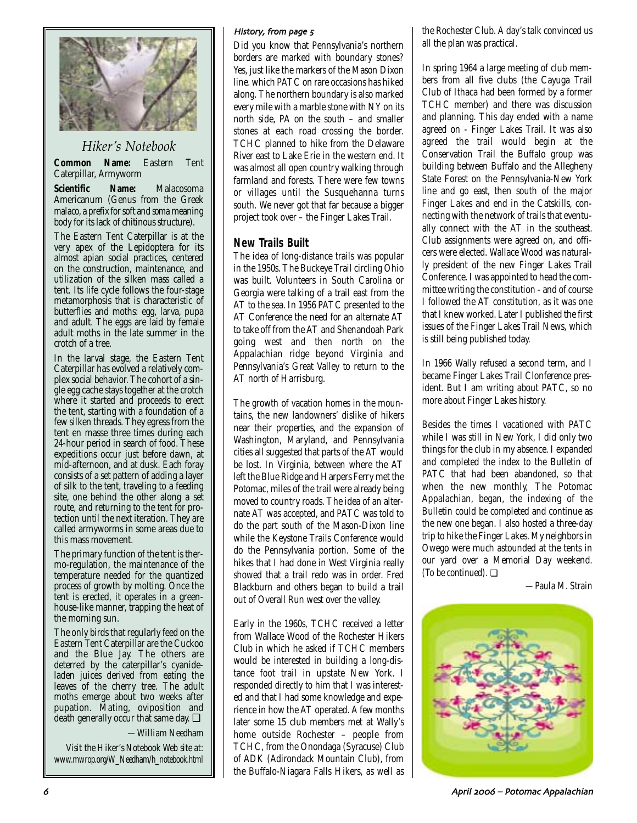

### *Hiker's Notebook*

**Common Name:** Eastern Tent Caterpillar, Armyworm

**Scientific Name:** Malacosoma Americanum (Genus from the Greek *malaco*, a prefix for soft and *soma* meaning body for its lack of chitinous structure).

The Eastern Tent Caterpillar is at the very apex of the Lepidoptera for its almost apian social practices, centered on the construction, maintenance, and utilization of the silken mass called a tent. Its life cycle follows the four-stage metamorphosis that is characteristic of butterflies and moths: egg, larva, pupa and adult. The eggs are laid by female adult moths in the late summer in the crotch of a tree.

In the larval stage, the Eastern Tent Caterpillar has evolved a relatively complex social behavior. The cohort of a single egg cache stays together at the crotch where it started and proceeds to erect the tent, starting with a foundation of a few silken threads. They egress from the tent en masse three times during each 24-hour period in search of food. These expeditions occur just before dawn, at mid-afternoon, and at dusk. Each foray consists of a set pattern of adding a layer of silk to the tent, traveling to a feeding site, one behind the other along a set route, and returning to the tent for protection until the next iteration. They are called armyworms in some areas due to this mass movement.

The primary function of the tent is thermo-regulation, the maintenance of the temperature needed for the quantized process of growth by molting. Once the tent is erected, it operates in a greenhouse-like manner, trapping the heat of the morning sun.

The only birds that regularly feed on the Eastern Tent Caterpillar are the Cuckoo and the Blue Jay. The others are deterred by the caterpillar's cyanideladen juices derived from eating the leaves of the cherry tree. The adult moths emerge about two weeks after pupation. Mating, oviposition and death generally occur that same day. **□** 

*—William Needham*

*Visit the Hiker's Notebook Web site at: www.mwrop.org/W\_Needham/h\_notebook.html*

#### History, from page 5

Did you know that Pennsylvania's northern borders are marked with boundary stones? Yes, just like the markers of the Mason Dixon line. which PATC on rare occasions has hiked along. The northern boundary is also marked every mile with a marble stone with NY on its north side, PA on the south – and smaller stones at each road crossing the border. TCHC planned to hike from the Delaware River east to Lake Erie in the western end. It was almost all open country walking through farmland and forests. There were few towns or villages until the Susquehanna turns south. We never got that far because a bigger project took over – the Finger Lakes Trail.

### **New Trails Built**

The idea of long-distance trails was popular in the 1950s. The Buckeye Trail circling Ohio was built. Volunteers in South Carolina or Georgia were talking of a trail east from the AT to the sea. In 1956 PATC presented to the AT Conference the need for an alternate AT to take off from the AT and Shenandoah Park going west and then north on the Appalachian ridge beyond Virginia and Pennsylvania's Great Valley to return to the AT north of Harrisburg.

The growth of vacation homes in the mountains, the new landowners' dislike of hikers near their properties, and the expansion of Washington, Maryland, and Pennsylvania cities all suggested that parts of the AT would be lost. In Virginia, between where the AT left the Blue Ridge and Harpers Ferry met the Potomac, miles of the trail were already being moved to country roads. The idea of an alternate AT was accepted, and PATC was told to do the part south of the Mason-Dixon line while the Keystone Trails Conference would do the Pennsylvania portion. Some of the hikes that I had done in West Virginia really showed that a trail redo was in order. Fred Blackburn and others began to build a trail out of Overall Run west over the valley.

Early in the 1960s, TCHC received a letter from Wallace Wood of the Rochester Hikers Club in which he asked if TCHC members would be interested in building a long-distance foot trail in upstate New York. I responded directly to him that I was interested and that I had some knowledge and experience in how the AT operated. A few months later some 15 club members met at Wally's home outside Rochester – people from TCHC, from the Onondaga (Syracuse) Club of ADK (Adirondack Mountain Club), from the Buffalo-Niagara Falls Hikers, as well as the Rochester Club. A day's talk convinced us all the plan was practical.

In spring 1964 a large meeting of club members from all five clubs (the Cayuga Trail Club of Ithaca had been formed by a former TCHC member) and there was discussion and planning. This day ended with a name agreed on - Finger Lakes Trail. It was also agreed the trail would begin at the Conservation Trail the Buffalo group was building between Buffalo and the Allegheny State Forest on the Pennsylvania-New York line and go east, then south of the major Finger Lakes and end in the Catskills, connecting with the network of trails that eventually connect with the AT in the southeast. Club assignments were agreed on, and officers were elected. Wallace Wood was naturally president of the new Finger Lakes Trail Conference. I was appointed to head the committee writing the constitution - and of course I followed the AT constitution, as it was one that I knew worked. Later I published the first issues of the Finger Lakes Trail News, which is still being published today.

In 1966 Wally refused a second term, and I became Finger Lakes Trail Clonference president. But I am writing about PATC, so no more about Finger Lakes history.

Besides the times I vacationed with PATC while I was still in New York, I did only two things for the club in my absence. I expanded and completed the index to the Bulletin of PATC that had been abandoned, so that when the new monthly, The Potomac Appalachian, began, the indexing of the Bulletin could be completed and continue as the new one began. I also hosted a three-day trip to hike the Finger Lakes. My neighbors in Owego were much astounded at the tents in our yard over a Memorial Day weekend. *(To be continued)*. ❏

*—Paula M. Strain*



مات المستخدم المستخدم المستخدم المستخدم المستخدم المستخدم المستخدم المستخدم المستخدم المستخدم المستخدم المستخد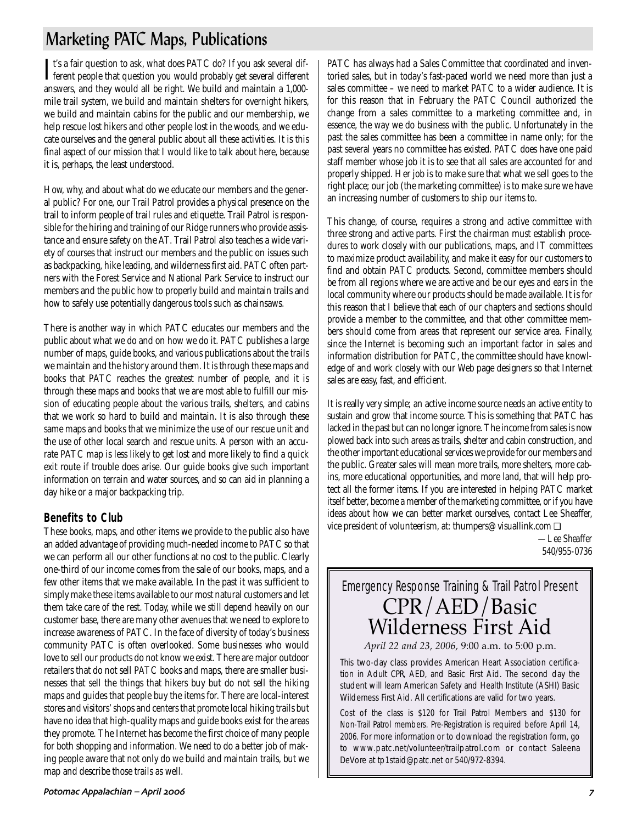# Marketing PATC Maps, Publications

It's a fair question to ask, what does PATC do? If you ask several different people that question you would probably get several different Tt's a fair question to ask, what does PATC do? If you ask several difanswers, and they would all be right. We build and maintain a 1,000 mile trail system, we build and maintain shelters for overnight hikers, we build and maintain cabins for the public and our membership, we help rescue lost hikers and other people lost in the woods, and we educate ourselves and the general public about all these activities. It is this final aspect of our mission that I would like to talk about here, because it is, perhaps, the least understood.

How, why, and about what do we educate our members and the general public? For one, our Trail Patrol provides a physical presence on the trail to inform people of trail rules and etiquette. Trail Patrol is responsible for the hiring and training of our Ridge runners who provide assistance and ensure safety on the AT. Trail Patrol also teaches a wide variety of courses that instruct our members and the public on issues such as backpacking, hike leading, and wilderness first aid. PATC often partners with the Forest Service and National Park Service to instruct our members and the public how to properly build and maintain trails and how to safely use potentially dangerous tools such as chainsaws.

There is another way in which PATC educates our members and the public about what we do and on how we do it. PATC publishes a large number of maps, guide books, and various publications about the trails we maintain and the history around them. It is through these maps and books that PATC reaches the greatest number of people, and it is through these maps and books that we are most able to fulfill our mission of educating people about the various trails, shelters, and cabins that we work so hard to build and maintain. It is also through these same maps and books that we minimize the use of our rescue unit and the use of other local search and rescue units. A person with an accurate PATC map is less likely to get lost and more likely to find a quick exit route if trouble does arise. Our guide books give such important information on terrain and water sources, and so can aid in planning a day hike or a major backpacking trip.

### **Benefits to Club**

These books, maps, and other items we provide to the public also have an added advantage of providing much-needed income to PATC so that we can perform all our other functions at no cost to the public. Clearly one-third of our income comes from the sale of our books, maps, and a few other items that we make available. In the past it was sufficient to simply make these items available to our most natural customers and let them take care of the rest. Today, while we still depend heavily on our customer base, there are many other avenues that we need to explore to increase awareness of PATC. In the face of diversity of today's business community PATC is often overlooked. Some businesses who would love to sell our products do not know we exist. There are major outdoor retailers that do not sell PATC books and maps, there are smaller businesses that sell the things that hikers buy but do not sell the hiking maps and guides that people buy the items for. There are local-interest stores and visitors' shops and centers that promote local hiking trails but have no idea that high-quality maps and guide books exist for the areas they promote. The Internet has become the first choice of many people for both shopping and information. We need to do a better job of making people aware that not only do we build and maintain trails, but we map and describe those trails as well.

PATC has always had a Sales Committee that coordinated and inventoried sales, but in today's fast-paced world we need more than just a sales committee – we need to market PATC to a wider audience. It is for this reason that in February the PATC Council authorized the change from a sales committee to a marketing committee and, in essence, the way we do business with the public. Unfortunately in the past the sales committee has been a committee in name only; for the past several years no committee has existed. PATC does have one paid staff member whose job it is to see that all sales are accounted for and properly shipped. Her job is to make sure that what we sell goes to the right place; our job (the marketing committee) is to make sure we have an increasing number of customers to ship our items to.

This change, of course, requires a strong and active committee with three strong and active parts. First the chairman must establish procedures to work closely with our publications, maps, and IT committees to maximize product availability, and make it easy for our customers to find and obtain PATC products. Second, committee members should be from all regions where we are active and be our eyes and ears in the local community where our products should be made available. It is for this reason that I believe that each of our chapters and sections should provide a member to the committee, and that other committee members should come from areas that represent our service area. Finally, since the Internet is becoming such an important factor in sales and information distribution for PATC, the committee should have knowledge of and work closely with our Web page designers so that Internet sales are easy, fast, and efficient.

It is really very simple; an active income source needs an active entity to sustain and grow that income source. This is something that PATC has lacked in the past but can no longer ignore. The income from sales is now plowed back into such areas as trails, shelter and cabin construction, and the other important educational services we provide for our members and the public. Greater sales will mean more trails, more shelters, more cabins, more educational opportunities, and more land, that will help protect all the former items. If you are interested in helping PATC market itself better, become a member of the marketing committee, or if you have ideas about how we can better market ourselves, contact Lee Sheaffer, vice president of volunteerism, at: thumpers@visuallink.com ❏

> *—Lee Sheaffer 540/955-0736*

# Emergency Response Training & Trail Patrol Present CPR/AED/Basic Wilderness First Aid

*April 22 and 23, 2006,* 9:00 a.m. to 5:00 p.m.

This two-day class provides American Heart Association certification in Adult CPR, AED, and Basic First Aid. The second day the student will learn American Safety and Health Institute (ASHI) Basic Wilderness First Aid. All certifications are valid for two years.

Cost of the class is \$120 for Trail Patrol Members and \$130 for Non-Trail Patrol members. Pre-Registration is required before April 14, 2006. For more information or to download the registration form, go to www.patc.net/volunteer/trailpatrol.com or contact Saleena DeVore at tp1staid@patc.net or 540/972-8394.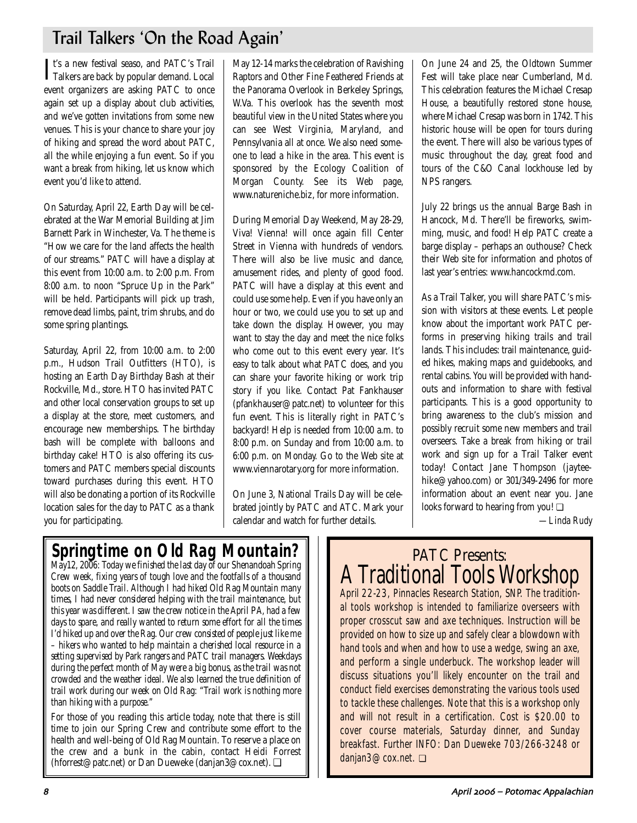# Trail Talkers 'On the Road Again'

It's a new festival seaso, and PATC's Trail<br>Talkers are back by popular demand. Local Tt's a new festival seaso, and PATC's Trail event organizers are asking PATC to once again set up a display about club activities, and we've gotten invitations from some new venues. This is your chance to share your joy of hiking and spread the word about PATC, all the while enjoying a fun event. So if you want a break from hiking, let us know which event you'd like to attend.

On Saturday, April 22, Earth Day will be celebrated at the War Memorial Building at Jim Barnett Park in Winchester, Va. The theme is "How we care for the land affects the health of our streams." PATC will have a display at this event from 10:00 a.m. to 2:00 p.m. From 8:00 a.m. to noon "Spruce Up in the Park" will be held. Participants will pick up trash, remove dead limbs, paint, trim shrubs, and do some spring plantings.

Saturday, April 22, from 10:00 a.m. to 2:00 p.m., Hudson Trail Outfitters (HTO), is hosting an Earth Day Birthday Bash at their Rockville, Md., store. HTO has invited PATC and other local conservation groups to set up a display at the store, meet customers, and encourage new memberships. The birthday bash will be complete with balloons and birthday cake! HTO is also offering its customers and PATC members special discounts toward purchases during this event. HTO will also be donating a portion of its Rockville location sales for the day to PATC as a thank you for participating.

May 12-14 marks the celebration of Ravishing Raptors and Other Fine Feathered Friends at the Panorama Overlook in Berkeley Springs, W.Va. This overlook has the seventh most beautiful view in the United States where you can see West Virginia, Maryland, and Pennsylvania all at once. We also need someone to lead a hike in the area. This event is sponsored by the Ecology Coalition of Morgan County. See its Web page, www.natureniche.biz, for more information.

During Memorial Day Weekend, May 28-29, Viva! Vienna! will once again fill Center Street in Vienna with hundreds of vendors. There will also be live music and dance, amusement rides, and plenty of good food. PATC will have a display at this event and could use some help. Even if you have only an hour or two, we could use you to set up and take down the display. However, you may want to stay the day and meet the nice folks who come out to this event every year. It's easy to talk about what PATC does, and you can share your favorite hiking or work trip story if you like. Contact Pat Fankhauser (pfankhauser@patc.net) to volunteer for this fun event. This is literally right in PATC's backyard! Help is needed from 10:00 a.m. to 8:00 p.m. on Sunday and from 10:00 a.m. to 6:00 p.m. on Monday. Go to the Web site at www.viennarotary.org for more information.

On June 3, National Trails Day will be celebrated jointly by PATC and ATC. Mark your calendar and watch for further details.

On June 24 and 25, the Oldtown Summer Fest will take place near Cumberland, Md. This celebration features the Michael Cresap House, a beautifully restored stone house, where Michael Cresap was born in 1742. This historic house will be open for tours during the event. There will also be various types of music throughout the day, great food and tours of the C&O Canal lockhouse led by NPS rangers.

July 22 brings us the annual Barge Bash in Hancock, Md. There'll be fireworks, swimming, music, and food! Help PATC create a barge display – perhaps an outhouse? Check their Web site for information and photos of last year's entries: www.hancockmd.com.

As a Trail Talker, you will share PATC's mission with visitors at these events. Let people know about the important work PATC performs in preserving hiking trails and trail lands. This includes: trail maintenance, guided hikes, making maps and guidebooks, and rental cabins. You will be provided with handouts and information to share with festival participants. This is a good opportunity to bring awareness to the club's mission and possibly recruit some new members and trail overseers. Take a break from hiking or trail work and sign up for a Trail Talker event today! Contact Jane Thompson (jayteehike@yahoo.com) or 301/349-2496 for more information about an event near you. Jane looks forward to hearing from you! ❏

*—Linda Rudy*

# **Springtime on Old Rag Mountain?**

*May12, 2006: Today we finished the last day of our Shenandoah Spring Crew week, fixing years of tough love and the footfalls of a thousand boots on Saddle Trail. Although I had hiked Old Rag Mountain many times, I had never considered helping with the trail maintenance, but this year was different. I saw the crew notice in the April* P*A, had a few days to spare, and really wanted to return some effort for all the times I'd hiked up and over the Rag. Our crew consisted of people just like me – hikers who wanted to help maintain a cherished local resource in a setting supervised by Park rangers and PATC trail managers. Weekdays during the perfect month of May were a big bonus, as the trail was not crowded and the weather ideal. We also learned the true definition of trail work during our week on Old Rag: "Trail work is nothing more than hiking with a purpose."* 

For those of you reading this article today, note that there is still time to join our Spring Crew and contribute some effort to the health and well-being of Old Rag Mountain. To reserve a place on the crew and a bunk in the cabin, contact Heidi Forrest (hforrest@patc.net) or Dan Dueweke (danjan3@cox.net). ❏

# PATC Presents: A Traditional Tools Workshop

April 22-23, Pinnacles Research Station, SNP. The traditional tools workshop is intended to familiarize overseers with proper crosscut saw and axe techniques. Instruction will be provided on how to size up and safely clear a blowdown with hand tools and when and how to use a wedge, swing an axe, and perform a single underbuck. The workshop leader will discuss situations you'll likely encounter on the trail and conduct field exercises demonstrating the various tools used to tackle these challenges. Note that this is a workshop only and will not result in a certification. Cost is \$20.00 to cover course materials, Saturday dinner, and Sunday breakfast. Further INFO: Dan Dueweke 703/266-3248 or danjan3@cox.net. ❏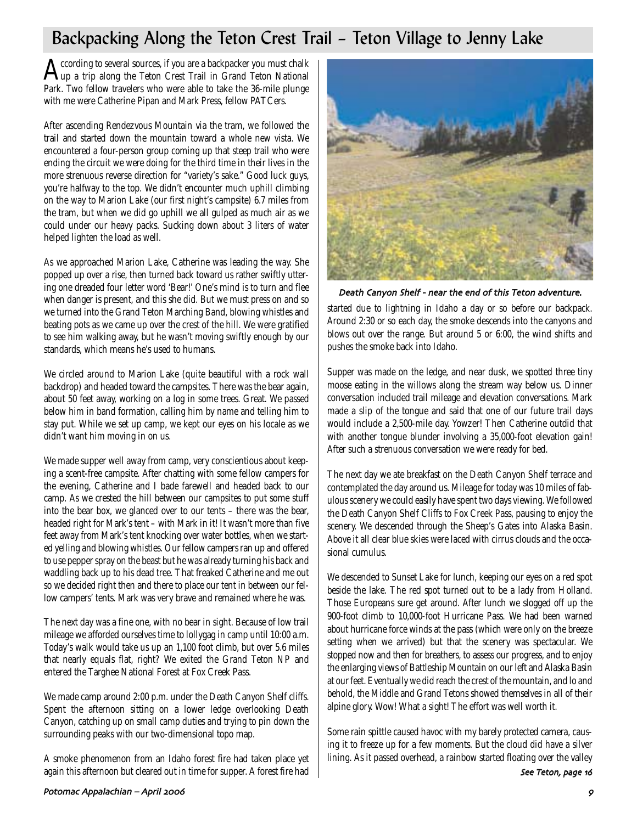# Backpacking Along the Teton Crest Trail – Teton Village to Jenny Lake

According to several sources, if you are a backpacker you must chalk<br>Aup a trip along the Teton Crest Trail in Grand Teton National Park. Two fellow travelers who were able to take the 36-mile plunge with me were Catherine Pipan and Mark Press, fellow PATCers.

After ascending Rendezvous Mountain via the tram, we followed the trail and started down the mountain toward a whole new vista. We encountered a four-person group coming up that steep trail who were ending the circuit we were doing for the third time in their lives in the more strenuous reverse direction for "variety's sake." Good luck guys, you're halfway to the top. We didn't encounter much uphill climbing on the way to Marion Lake (our first night's campsite) 6.7 miles from the tram, but when we did go uphill we all gulped as much air as we could under our heavy packs. Sucking down about 3 liters of water helped lighten the load as well.

As we approached Marion Lake, Catherine was leading the way. She popped up over a rise, then turned back toward us rather swiftly uttering one dreaded four letter word 'Bear!' One's mind is to turn and flee when danger is present, and this she did. But we must press on and so we turned into the Grand Teton Marching Band, blowing whistles and beating pots as we came up over the crest of the hill. We were gratified to see him walking away, but he wasn't moving swiftly enough by our standards, which means he's used to humans.

We circled around to Marion Lake (quite beautiful with a rock wall backdrop) and headed toward the campsites. There was the bear again, about 50 feet away, working on a log in some trees. Great. We passed below him in band formation, calling him by name and telling him to stay put. While we set up camp, we kept our eyes on his locale as we didn't want him moving in on us.

We made supper well away from camp, very conscientious about keeping a scent-free campsite. After chatting with some fellow campers for the evening, Catherine and I bade farewell and headed back to our camp. As we crested the hill between our campsites to put some stuff into the bear box, we glanced over to our tents – there was the bear, headed right for Mark's tent – with Mark in it! It wasn't more than five feet away from Mark's tent knocking over water bottles, when we started yelling and blowing whistles. Our fellow campers ran up and offered to use pepper spray on the beast but he was already turning his back and waddling back up to his dead tree. That freaked Catherine and me out so we decided right then and there to place our tent in between our fellow campers' tents. Mark was very brave and remained where he was.

The next day was a fine one, with no bear in sight. Because of low trail mileage we afforded ourselves time to lollygag in camp until 10:00 a.m. Today's walk would take us up an 1,100 foot climb, but over 5.6 miles that nearly equals flat, right? We exited the Grand Teton NP and entered the Targhee National Forest at Fox Creek Pass.

We made camp around 2:00 p.m. under the Death Canyon Shelf cliffs. Spent the afternoon sitting on a lower ledge overlooking Death Canyon, catching up on small camp duties and trying to pin down the surrounding peaks with our two-dimensional topo map.

A smoke phenomenon from an Idaho forest fire had taken place yet again this afternoon but cleared out in time for supper. A forest fire had



Death Canyon Shelf - near the end of this Teton adventure.

started due to lightning in Idaho a day or so before our backpack. Around 2:30 or so each day, the smoke descends into the canyons and blows out over the range. But around 5 or 6:00, the wind shifts and pushes the smoke back into Idaho.

Supper was made on the ledge, and near dusk, we spotted three tiny moose eating in the willows along the stream way below us. Dinner conversation included trail mileage and elevation conversations. Mark made a slip of the tongue and said that one of our future trail days would include a 2,500-mile day. Yowzer! Then Catherine outdid that with another tongue blunder involving a 35,000-foot elevation gain! After such a strenuous conversation we were ready for bed.

The next day we ate breakfast on the Death Canyon Shelf terrace and contemplated the day around us. Mileage for today was 10 miles of fabulous scenery we could easily have spent two days viewing. We followed the Death Canyon Shelf Cliffs to Fox Creek Pass, pausing to enjoy the scenery. We descended through the Sheep's Gates into Alaska Basin. Above it all clear blue skies were laced with cirrus clouds and the occasional cumulus.

We descended to Sunset Lake for lunch, keeping our eyes on a red spot beside the lake. The red spot turned out to be a lady from Holland. Those Europeans sure get around. After lunch we slogged off up the 900-foot climb to 10,000-foot Hurricane Pass. We had been warned about hurricane force winds at the pass (which were only on the breeze setting when we arrived) but that the scenery was spectacular. We stopped now and then for breathers, to assess our progress, and to enjoy the enlarging views of Battleship Mountain on our left and Alaska Basin at our feet. Eventually we did reach the crest of the mountain, and lo and behold, the Middle and Grand Tetons showed themselves in all of their alpine glory. Wow! What a sight! The effort was well worth it.

Some rain spittle caused havoc with my barely protected camera, causing it to freeze up for a few moments. But the cloud did have a silver lining. As it passed overhead, a rainbow started floating over the valley

See Teton, page 16

#### Potomac Appalachian – April 9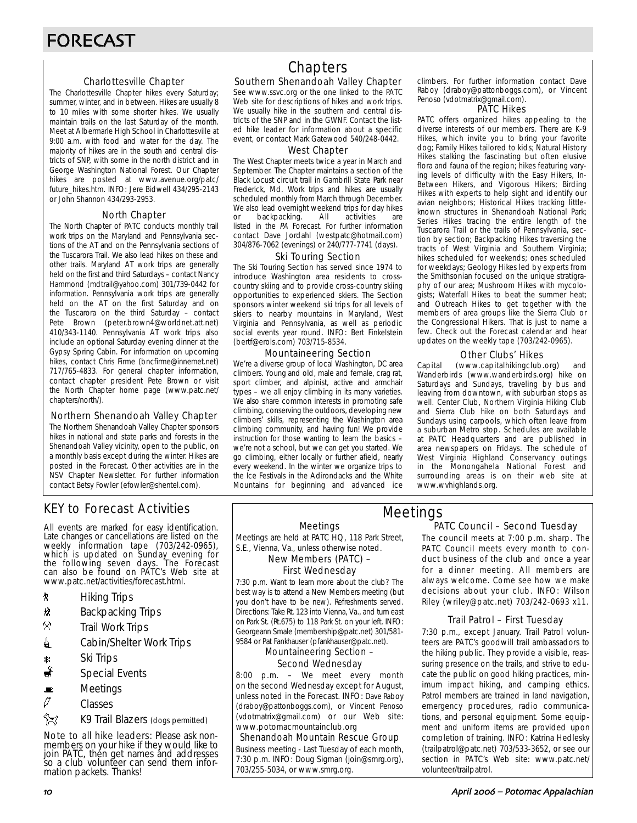#### Charlottesville Chapter

The Charlottesville Chapter hikes every Saturday; summer, winter, and in between. Hikes are usually 8 to 10 miles with some shorter hikes. We usually maintain trails on the last Saturday of the month. Meet at Albermarle High School in Charlottesville at 9:00 a.m. with food and water for the day. The majority of hikes are in the south and central districts of SNP, with some in the north district and in George Washington National Forest. Our Chapter hikes are posted at www.avenue.org/patc/ future\_hikes.htm. INFO: Jere Bidwell 434/295-2143 or John Shannon 434/293-2953.

#### North Chapter

The North Chapter of PATC conducts monthly trail work trips on the Maryland and Pennsylvania sections of the AT and on the Pennsylvania sections of the Tuscarora Trail. We also lead hikes on these and other trails. Maryland AT work trips are generally held on the first and third Saturdays – contact Nancy Hammond (mdtrail@yahoo.com) 301/739-0442 for information. Pennsylvania work trips are generally held on the AT on the first Saturday and on the Tuscarora on the third Saturday – contact Pete Brown (peter.brown4@worldnet.att.net) 410/343-1140. Pennsylvania AT work trips also include an optional Saturday evening dinner at the Gypsy Spring Cabin. For information on upcoming hikes, contact Chris Firme (bncfirme@innernet.net) 717/765-4833. For general chapter information, contact chapter president Pete Brown or visit the North Chapter home page (www.patc.net/ chapters/north/).

#### Northern Shenandoah Valley Chapter

The Northern Shenandoah Valley Chapter sponsors hikes in national and state parks and forests in the Shenandoah Valley vicinity, open to the public, on a monthly basis except during the winter. Hikes are posted in the Forecast. Other activities are in the NSV Chapter Newsletter. For further information contact Betsy Fowler (efowler@shentel.com).

### KEY to Forecast Activities

All events are marked for easy identification. Late changes or cancellations are listed on the weekly information tape (703/242-0965), which is updated on Sunday evening for the following seven days. The Forecast can also be found on PATC's Web site at www.patc.net/activities/forecast.html.

- **\*** Hiking Trips
- \* Backpacking Trips
- $\mathcal{R}$  Trail Work Trips
- **4** Cabin/Shelter Work Trips
- 
- Ri Trips‱<br>ا Special Special Events
- $\blacksquare$  Meetings
- $\mathscr O$  Classes
- **EX** K9 Trail Blazers (dogs permitted)

Note to all hike leaders: Please ask nonmembers on your hike if they would like to join PATC, thén get names ánd addresses so a club volunteer can send them information packets. Thanks!

### **Chapters**

#### Southern Shenandoah Valley Chapter

See www.ssvc.org or the one linked to the PATC Web site for descriptions of hikes and work trips. We usually hike in the southern and central districts of the SNP and in the GWNF. Contact the listed hike leader for information about a specific event, or contact Mark Gatewood 540/248-0442.

#### West Chapter

The West Chapter meets twice a year in March and September. The Chapter maintains a section of the Black Locust circuit trail in Gambrill State Park near Frederick, Md. Work trips and hikes are usually scheduled monthly from March through December. We also lead overnight weekend trips for day hikes<br>or backpacking. All activities are or backpacking. All activities are listed in the PA Forecast. For further information contact Dave Jordahl (westpatc@hotmail.com) 304/876-7062 (evenings) or 240/777-7741 (days).

#### Ski Touring Section

The Ski Touring Section has served since 1974 to introduce Washington area residents to crosscountry skiing and to provide cross-country skiing opportunities to experienced skiers. The Section sponsors winter weekend ski trips for all levels of skiers to nearby mountains in Maryland, West Virginia and Pennsylvania, as well as periodic social events year round. INFO: Bert Finkelstein (bertf@erols.com) 703/715-8534.

#### Mountaineering Section

We're a diverse group of local Washington, DC area climbers. Young and old, male and female, crag rat, sport climber, and alpinist, active and armchair types – we all enjoy climbing in its many varieties. We also share common interests in promoting safe climbing, conserving the outdoors, developing new climbers' skills, representing the Washington area climbing community, and having fun! We provide instruction for those wanting to learn the basics – we're not a school, but we can get you started. We go climbing, either locally or further afield, nearly every weekend. In the winter we organize trips to the Ice Festivals in the Adirondacks and the White Mountains for beginning and advanced ice

climbers. For further information contact Dave Raboy (draboy@pattonboggs.com), or Vincent Penoso (vdotmatrix@gmail.com).

#### PATC Hikes

PATC offers organized hikes appealing to the diverse interests of our members. There are K-9 Hikes, which invite you to bring your favorite dog; Family Hikes tailored to kids; Natural History Hikes stalking the fascinating but often elusive flora and fauna of the region; hikes featuring varying levels of difficulty with the Easy Hikers, In-Between Hikers, and Vigorous Hikers; Birding Hikes with experts to help sight and identify our avian neighbors; Historical Hikes tracking littleknown structures in Shenandoah National Park; Series Hikes tracing the entire length of the Tuscarora Trail or the trails of Pennsylvania, section by section; Backpacking Hikes traversing the tracts of West Virginia and Southern Virginia; hikes scheduled for weekends; ones scheduled for weekdays; Geology Hikes led by experts from the Smithsonian focused on the unique stratigraphy of our area; Mushroom Hikes with mycologists; Waterfall Hikes to beat the summer heat; and Outreach Hikes to get together with the members of area groups like the Sierra Club or the Congressional Hikers. That is just to name a few. Check out the Forecast calendar and hear updates on the weekly tape (703/242-0965).

#### Other Clubs' Hikes

Capital (www.capitalhikingclub.org) and Wanderbirds (www.wanderbirds.org) hike on Saturdays and Sundays, traveling by bus and leaving from downtown, with suburban stops as well. Center Club, Northern Virginia Hiking Club and Sierra Club hike on both Saturdays and Sundays using carpools, which often leave from a suburban Metro stop. Schedules are available at PATC Headquarters and are published in area newspapers on Fridays. The schedule of West Virginia Highland Conservancy outings in the Monongahela National Forest and surrounding areas is on their web site at www.wvhighlands.org.

### Meetings

Meetings are held at PATC HQ, 118 Park Street, S.E., Vienna, Va., unless otherwise noted.

New Members (PATC) –

### First Wednesday

7:30 p.m. Want to learn more about the club? The best way is to attend a New Members meeting (but you don't have to be new). Refreshments served. Directions: Take Rt. 123 into Vienna, Va., and turn east on Park St. (Rt.675) to 118 Park St. on your left. INFO: Georgeann Smale (membership@patc.net) 301/581- 9584 or Pat Fankhauser (pfankhauser@patc.net).

Mountaineering Section –

## Second Wednesday

8:00 p.m. – We meet every month on the second Wednesday except for August, unless noted in the Forecast. INFO: Dave Raboy (draboy@pattonboggs.com), or Vincent Penoso (vdotmatrix@gmail.com) or our Web site: www.potomacmountainclub.org

#### Shenandoah Mountain Rescue Group

Business meeting - Last Tuesday of each month, 7:30 p.m. INFO: Doug Sigman (join@smrg.org), 703/255-5034, or www.smrg.org.

#### PATC Council – Second Tuesday Meetings

The council meets at 7:00 p.m. sharp. The PATC Council meets every month to conduct business of the club and once a year for a dinner meeting. All members are always welcome. Come see how we make decisions about your club. INFO: Wilson Riley (wriley@patc.net) 703/242-0693 x11.

#### Trail Patrol – First Tuesday

7:30 p.m., except January. Trail Patrol volunteers are PATC's goodwill trail ambassadors to the hiking public. They provide a visible, reassuring presence on the trails, and strive to educate the public on good hiking practices, minimum impact hiking, and camping ethics. Patrol members are trained in land navigation, emergency procedures, radio communications, and personal equipment. Some equipment and uniform items are provided upon completion of training. INFO: Katrina Hedlesky (trailpatrol@patc.net) 703/533-3652, or see our section in PATC's Web site: www.patc.net/ volunteer/trailpatrol.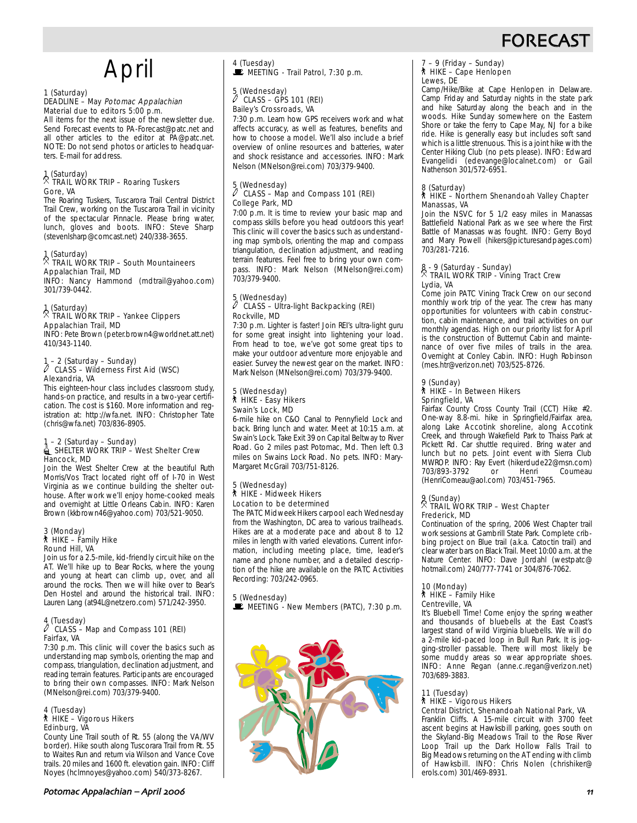

# April

## 1 (Saturday)

#### DEADLINE – May Potomac Appalachian Material due to editors 5:00 p.m.

All items for the next issue of the newsletter due. Send Forecast events to PA-Forecast@patc.net and all other articles to the editor at PA@patc.net. NOTE: Do not send photos or articles to headquarters. E-mail for address.

#### 1 (Saturday) . TRAIL WORK TRIP – Roaring Tuskers Gore, VA

The Roaring Tuskers, Tuscarora Trail Central District Trail Crew, working on the Tuscarora Trail in vicinity of the spectacular Pinnacle. Please bring water, lunch, gloves and boots. INFO: Steve Sharp (stevenlsharp@comcast.net) 240/338-3655.

#### 1 (Saturday) . TRAIL WORK TRIP – South Mountaineers Appalachian Trail, MD

INFO: Nancy Hammond (mdtrail@yahoo.com) 301/739-0442.

### 1 (Saturday) . TRAIL WORK TRIP – Yankee Clippers Appalachian Trail, MD

INFO: Pete Brown (peter.brown4@worldnet.att.net) 410/343-1140.

### 1 – 2 (Saturday – Sunday) a CLASS – Wilderness First Aid (WSC) Alexandria, VA

This eighteen-hour class includes classroom study, hands-on practice, and results in a two-year certification. The cost is \$160. More information and registration at: http://wfa.net. INFO: Christopher Tate (chris@wfa.net) 703/836-8905.

### 1 – 2 (Saturday – Sunday)<br>decamber Shelter Work TRIP – West Shelter Crew<br>ISHELTER WORK TRIP – West Shelter Crew Hancock, MD

Join the West Shelter Crew at the beautiful Ruth Morris/Vos Tract located right off of I-70 in West Virginia as we continue building the shelter outhouse. After work we'll enjoy home-cooked meals and overnight at Little Orleans Cabin. INFO: Karen Brown (kkbrown46@yahoo.com) 703/521-9050.

#### 3 (Monday) ` HIKE – Family Hike Round Hill, VA

Join us for a 2.5-mile, kid-friendly circuit hike on the AT. We'll hike up to Bear Rocks, where the young and young at heart can climb up, over, and all around the rocks. Then we will hike over to Bear's Den Hostel and around the historical trail. INFO: Lauren Lang (at94L@netzero.com) 571/242-3950.

#### 4 (Tuesday)<br>A CLASS CLASS – Map and Compass 101 (REI) Fairfax, VA

7:30 p.m. This clinic will cover the basics such as understanding map symbols, orienting the map and compass, triangulation, declination adjustment, and reading terrain features. Participants are encouraged to bring their own compasses. INFO: Mark Nelson (MNelson@rei.com) 703/379-9400.

#### 4 (Tuesday) ` HIKE – Vigorous Hikers Edinburg, VA

County Line Trail south of Rt. 55 (along the VA/WV border). Hike south along Tuscorara Trail from Rt. 55 to Waites Run and return via Wilson and Vance Cove trails. 20 miles and 1600 ft. elevation gain. INFO: Cliff Noyes (hclmnoyes@yahoo.com) 540/373-8267.

4 (Tuesday)  $\mathbf{\dot{F}}$  MEETING - Trail Patrol, 7:30 p.m.

### 5 (Wednesday) a CLASS – GPS 101 (REI) Bailey's Crossroads, VA

7:30 p.m. Learn how GPS receivers work and what affects accuracy, as well as features, benefits and how to choose a model. We'll also include a brief overview of online resources and batteries, water and shock resistance and accessories. INFO: Mark Nelson (MNelson@rei.com) 703/379-9400.

#### 5 (Wednesday) a CLASS – Map and Compass 101 (REI) College Park, MD

7:00 p.m. It is time to review your basic map and compass skills before you head outdoors this year! This clinic will cover the basics such as understanding map symbols, orienting the map and compass triangulation, declination adjustment, and reading terrain features. Feel free to bring your own compass. INFO: Mark Nelson (MNelson@rei.com) 703/379-9400.

### 5 (Wednesday) a CLASS – Ultra-light Backpacking (REI) Rockville, MD

7:30 p.m. Lighter is faster! Join REI's ultra-light guru for some great insight into lightening your load. From head to toe, we've got some great tips to make your outdoor adventure more enjoyable and easier. Survey the newest gear on the market. INFO: Mark Nelson (MNelson@rei.com) 703/379-9400.

#### 5 (Wednesday) ` HIKE - Easy Hikers Swain's Lock, MD

6-mile hike on C&O Canal to Pennyfield Lock and back. Bring lunch and water. Meet at 10:15 a.m. at Swain's Lock. Take Exit 39 on Capital Beltway to River Road. Go 2 miles past Potomac, Md. Then left 0.3 miles on Swains Lock Road. No pets. INFO: Mary-Margaret McGrail 703/751-8126.

#### 5 (Wednesday) ` HIKE - Midweek Hikers Location to be determined

The PATC Midweek Hikers carpool each Wednesday from the Washington, DC area to various trailheads. Hikes are at a moderate pace and about 8 to 12 miles in length with varied elevations. Current information, including meeting place, time, leader's name and phone number, and a detailed description of the hike are available on the PATC Activities Recording: 703/242-0965.

### 5 (Wednesday)

 $\mathbf{\dot{F}}$  MEETING - New Members (PATC), 7:30 p.m.



#### 7 – 9 (Friday – Sunday) ` HIKE – Cape Henlopen Lewes, DE

Camp/Hike/Bike at Cape Henlopen in Delaware. Camp Friday and Saturday nights in the state park and hike Saturday along the beach and in the woods. Hike Sunday somewhere on the Eastern Shore or take the ferry to Cape May, NJ for a bike ride. Hike is generally easy but includes soft sand which is a little strenuous. This is a joint hike with the Center Hiking Club (no pets please). INFO: Edward Evangelidi (edevange@localnet.com) or Gail Nathenson 301/572-6951.

### 8 (Saturday) ` HIKE – Northern Shenandoah Valley Chapter Manassas, VA

Join the NSVC for 5 1/2 easy miles in Manassas Battlefield National Park as we see where the First Battle of Manassas was fought. INFO: Gerry Boyd and Mary Powell (hikers@picturesandpages.com) 703/281-7216.

### 8 - 9 (Saturday - Sunday) . TRAIL WORK TRIP - Vining Tract Crew Lydia, VA

Come join PATC Vining Track Crew on our second monthly work trip of the year. The crew has many opportunities for volunteers with cabin construction, cabin maintenance, and trail activities on our monthly agendas. High on our priority list for April is the construction of Butternut Cabin and maintenance of over five miles of trails in the area. Overnight at Conley Cabin. INFO: Hugh Robinson (mes.htr@verizon.net) 703/525-8726.

#### 9 (Sunday) ` HIKE – In Between Hikers Springfield, VA

Fairfax County Cross County Trail (CCT) Hike #2. One-way 8.8-mi. hike in Springfield/Fairfax area, along Lake Accotink shoreline, along Accotink Creek, and through Wakefield Park to Thaiss Park at Pickett Rd. Car shuttle required. Bring water and lunch but no pets. Joint event with Sierra Club MWROP. INFO: Ray Evert (hikerdude22@msn.com)<br>703/893-3792 or Henri Coumeau 703/893-3792 (HenriComeau@aol.com) 703/451-7965.

#### 9 (Sunday) . TRAIL WORK TRIP – West Chapter Frederick, MD

Continuation of the spring, 2006 West Chapter trail work sessions at Gambrill State Park. Complete cribbing project on Blue trail (a.k.a. Catoctin trail) and clear water bars on Black Trail. Meet 10:00 a.m. at the Nature Center. INFO: Dave Jordahl (westpatc@ hotmail.com) 240/777-7741 or 304/876-7062.

### 10 (Monday)

#### ` HIKE – Family Hike Centreville, VA

It's Bluebell Time! Come enjoy the spring weather and thousands of bluebells at the East Coast's largest stand of wild Virginia bluebells. We will do a 2-mile kid-paced loop in Bull Run Park. It is jogging-stroller passable. There will most likely be some muddy areas so wear appropriate shoes. INFO: Anne Regan (anne.c.regan@verizon.net) 703/689-3883.

#### 11 (Tuesday) ` HIKE – Vigorous Hikers

Central District, Shenandoah National Park, VA Franklin Cliffs. A 15-mile circuit with 3700 feet ascent begins at Hawksbill parking, goes south on the Skyland-Big Meadows Trail to the Rose River Loop Trail up the Dark Hollow Falls Trail to Big Meadows returning on the AT ending with climb of Hawksbill. INFO: Chris Nolen (chrishiker@ erols.com) 301/469-8931.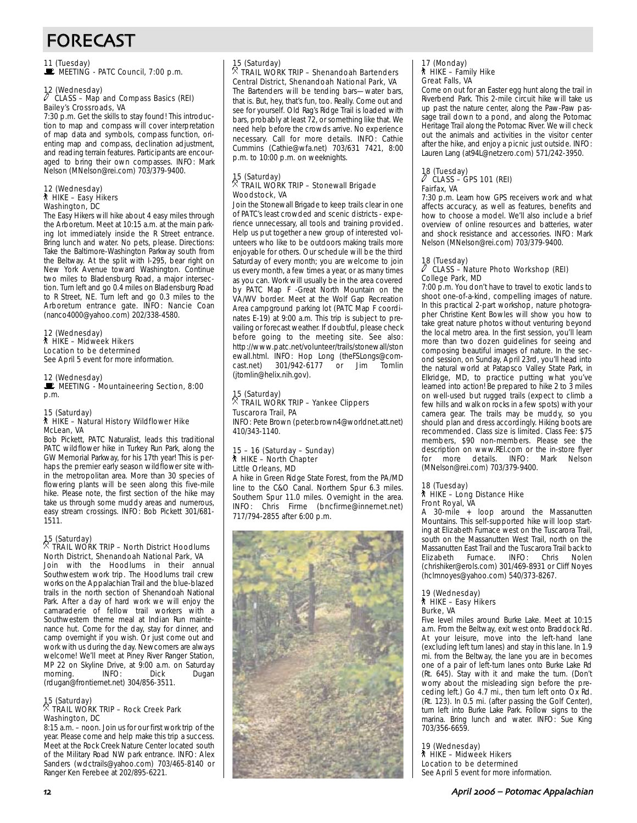# FORECAST

11 (Tuesday)<br>■ MEETING - PATC Council, 7:00 p.m.

12 (Wednesday) a CLASS – Map and Compass Basics (REI) Bailey's Crossroads, VA

7:30 p.m. Get the skills to stay found! This introduction to map and compass will cover interpretation of map data and symbols, compass function, orienting map and compass, declination adjustment, and reading terrain features. Participants are encouraged to bring their own compasses. INFO: Mark Nelson (MNelson@rei.com) 703/379-9400.

#### 12 (Wednesday) ` HIKE – Easy Hikers Washington, DC

The Easy Hikers will hike about 4 easy miles through the Arboretum. Meet at 10:15 a.m. at the main parking lot immediately inside the R Street entrance. Bring lunch and water. No pets, please. Directions: Take the Baltimore-Washington Parkway south from the Beltway. At the split with I-295, bear right on New York Avenue toward Washington. Continue two miles to Bladensburg Road, a major intersection. Turn left and go 0.4 miles on Bladensburg Road to R Street, NE. Turn left and go 0.3 miles to the Arboretum entrance gate. INFO: Nancie Coan (nanco4000@yahoo.com) 202/338-4580.

12 (Wednesday) ` HIKE – Midweek Hikers Location to be determined See April 5 event for more information.

12 (Wednesday) MEETING - Mountaineering Section, 8:00 p.m.

#### 15 (Saturday) ` HIKE – Natural History Wildflower Hike McLean, VA

Bob Pickett, PATC Naturalist, leads this traditional PATC wildflower hike in Turkey Run Park, along the GW Memorial Parkway, for his 17th year! This is perhaps the premier early season wildflower site within the metropolitan area. More than 30 species of flowering plants will be seen along this five-mile hike. Please note, the first section of the hike may take us through some muddy areas and numerous, easy stream crossings. INFO: Bob Pickett 301/681- 1511.

#### 15 (Saturday) . TRAIL WORK TRIP – North District Hoodlums North District, Shenandoah National Park, VA

Join with the Hoodlums in their annual Southwestern work trip. The Hoodlums trail crew works on the Appalachian Trail and the blue-blazed trails in the north section of Shenandoah National Park. After a day of hard work we will enjoy the camaraderie of fellow trail workers with a Southwestern theme meal at Indian Run maintenance hut. Come for the day, stay for dinner, and camp overnight if you wish. Or just come out and work with us during the day. Newcomers are always welcome! We'll meet at Piney River Ranger Station, MP 22 on Skyline Drive, at 9:00 a.m. on Saturday morning. INFO: Dick Dugan (rdugan@frontiernet.net) 304/856-3511.

### 15 (Saturday) . TRAIL WORK TRIP – Rock Creek Park Washington, DC

8:15 a.m. – noon. Join us for our first work trip of the year. Please come and help make this trip a success. Meet at the Rock Creek Nature Center located south of the Military Road NW park entrance. INFO: Alex Sanders (wdctrails@yahoo.com) 703/465-8140 or Ranger Ken Ferebee at 202/895-6221.

# 15 (Saturday)

#### . TRAIL WORK TRIP – Shenandoah Bartenders Central District, Shenandoah National Park, VA

The Bartenders will be tending bars—water bars, that is. But, hey, that's fun, too. Really. Come out and see for yourself. Old Rag's Ridge Trail is loaded with bars, probably at least 72, or something like that. We need help before the crowds arrive. No experience necessary. Call for more details. INFO: Cathie Cummins (Cathie@wfa.net) 703/631 7421, 8:00 p.m. to 10:00 p.m. on weeknights.

#### 15 (Saturday) . TRAIL WORK TRIP – Stonewall Brigade Woodstock, VA

Join the Stonewall Brigade to keep trails clear in one of PATC's least crowded and scenic districts - experience unnecessary, all tools and training provided. Help us put together a new group of interested volunteers who like to be outdoors making trails more enjoyable for others. Our schedule will be the third Saturday of every month; you are welcome to join us every month, a few times a year, or as many times as you can. Work will usually be in the area covered by PATC Map F -Great North Mountain on the VA/WV border. Meet at the Wolf Gap Recreation Area campground parking lot (PATC Map F coordinates E-19) at 9:00 a.m. This trip is subject to prevailing or forecast weather. If doubtful, please check before going to the meeting site. See also: http://www.patc.net/volunteer/trails/stonewall/ston ewall.html. INFO: Hop Long (theFSLongs@com-<br>cast.net) 301/942-6177 or Jim Tomlin cast.net) 301/942-6177 or Jim (jtomlin@helix.nih.gov).

# 15 (Saturday) . TRAIL WORK TRIP – Yankee Clippers

## Tuscarora Trail, PA

INFO: Pete Brown (peter.brown4@worldnet.att.net) 410/343-1140.

#### 15 – 16 (Saturday – Sunday) ` HIKE – North Chapter Little Orleans, MD

A hike in Green Ridge State Forest, from the PA/MD line to the C&O Canal. Northern Spur 6.3 miles. Southern Spur 11.0 miles. Overnight in the area. INFO: Chris Firme (bncfirme@innernet.net) 717/794-2855 after 6:00 p.m.



#### 17 (Monday)  $*$  HIKE – Family Hike Great Falls, VA

Come on out for an Easter egg hunt along the trail in Riverbend Park. This 2-mile circuit hike will take us up past the nature center, along the Paw-Paw passage trail down to a pond, and along the Potomac Heritage Trail along the Potomac River. We will check out the animals and activities in the visitor center after the hike, and enjoy a picnic just outside. INFO: Lauren Lang (at94L@netzero.com) 571/242-3950.

### 18 (Tuesday) a CLASS – GPS 101 (REI) Fairfax, VA

7:30 p.m. Learn how GPS receivers work and what affects accuracy, as well as features, benefits and how to choose a model. We'll also include a brief overview of online resources and batteries, water and shock resistance and accessories. INFO: Mark Nelson (MNelson@rei.com) 703/379-9400.

#### 18 (Tuesday)

#### a CLASS – Nature Photo Workshop (REI) College Park, MD

7:00 p.m. You don't have to travel to exotic lands to shoot one-of-a-kind, compelling images of nature. In this practical 2-part workshop, nature photographer Christine Kent Bowles will show you how to take great nature photos without venturing beyond the local metro area. In the first session, you'll learn more than two dozen guidelines for seeing and composing beautiful images of nature. In the second session, on Sunday, April 23rd, you'll head into the natural world at Patapsco Valley State Park, in Elkridge, MD, to practice putting what you've learned into action! Be prepared to hike 2 to 3 miles on well-used but rugged trails (expect to climb a few hills and walk on rocks in a few spots) with your camera gear. The trails may be muddy, so you should plan and dress accordingly. Hiking boots are recommended. Class size is limited. Class Fee: \$75 members, \$90 non-members. Please see the description on www.REI.com or the in-store flyer more details. INFO: Mark Nelson (MNelson@rei.com) 703/379-9400.

#### 18 (Tuesday) ` HIKE – Long Distance Hike

### Front Royal, VA

A 30-mile + loop around the Massanutten Mountains. This self-supported hike will loop starting at Elizabeth Furnace west on the Tuscarora Trail, south on the Massanutten West Trail, north on the Massanutten East Trail and the Tuscarora Trail back to<br>Elizabeth Furnace. INFO: Chris Nolen Elizabeth Furnace. (chrishiker@erols.com) 301/469-8931 or Cliff Noyes (hclmnoyes@yahoo.com) 540/373-8267.

#### 19 (Wednesday) ` HIKE – Easy Hikers Burke, VA

Five level miles around Burke Lake. Meet at 10:15 a.m. From the Beltway, exit west onto Braddock Rd. At your leisure, move into the left-hand lane (excluding left turn lanes) and stay in this lane. In 1.9 mi. from the Beltway, the lane you are in becomes one of a pair of left-turn lanes onto Burke Lake Rd (Rt. 645). Stay with it and make the turn. (Don't worry about the misleading sign before the preceding left.) Go 4.7 mi., then turn left onto Ox Rd. (Rt. 123). In 0.5 mi. (after passing the Golf Center), turn left into Burke Lake Park. Follow signs to the marina. Bring lunch and water. INFO: Sue King 703/356-6659.

19 (Wednesday) ` HIKE – Midweek Hikers Location to be determined See April 5 event for more information.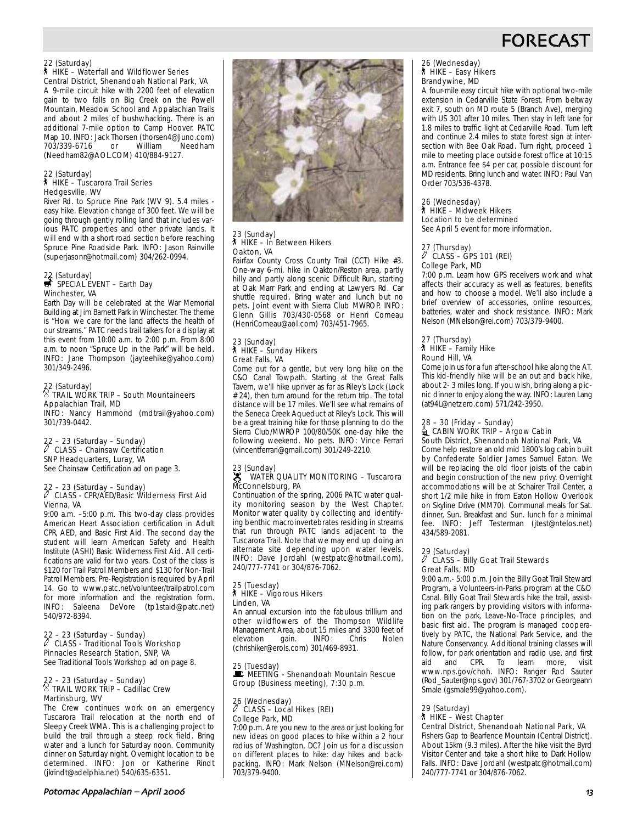

#### 22 (Saturday) ` HIKE – Waterfall and Wildflower Series Central District, Shenandoah National Park, VA

A 9-mile circuit hike with 2200 feet of elevation gain to two falls on Big Creek on the Powell Mountain, Meadow School and Appalachian Trails and about 2 miles of bushwhacking. There is an additional 7-mile option to Camp Hoover. PATC Map 10. INFO: Jack Thorsen (thorsen4@Juno.com)<br>703/339-6716 or William Needham  $703/339-6716$  or (Needham82@AOL.COM) 410/884-9127.

#### 22 (Saturday) ` HIKE – Tuscarora Trail Series Hedgesville, WV

River Rd. to Spruce Pine Park (WV 9). 5.4 miles easy hike. Elevation change of 300 feet. We will be going through gently rolling land that includes various PATC properties and other private lands. It will end with a short road section before reaching Spruce Pine Roadside Park. INFO: Jason Rainville (superjasonr@hotmail.com) 304/262-0994.

### 22 (Saturday)<br>
SPECIAL EVENT – Earth Day Winchester, VA

Earth Day will be celebrated at the War Memorial Building at Jim Barnett Park in Winchester. The theme is "How we care for the land affects the health of our streams." PATC needs trail talkers for a display at this event from 10:00 a.m. to 2:00 p.m. From 8:00 a.m. to noon "Spruce Up in the Park" will be held. INFO: Jane Thompson (jayteehike@yahoo.com) 301/349-2496.

### 22 (Saturday) . TRAIL WORK TRIP – South Mountaineers Appalachian Trail, MD

INFO: Nancy Hammond (mdtrail@yahoo.com) 301/739-0442.

### 22 – 23 (Saturday – Sunday) a CLASS – Chainsaw Certification SNP Headquarters, Luray, VA

See Chainsaw Certification ad on page 3.

### 22 – 23 (Saturday – Sunday) a CLASS - CPR/AED/Basic Wilderness First Aid Vienna, VA

9:00 a.m. –5:00 p.m. This two-day class provides American Heart Association certification in Adult CPR, AED, and Basic First Aid. The second day the student will learn American Safety and Health Institute (ASHI) Basic Wilderness First Aid. All certifications are valid for two years. Cost of the class is \$120 for Trail Patrol Members and \$130 for Non-Trail Patrol Members. Pre-Registration is required by April 14. Go to www.patc.net/volunteer/trailpatrol.com for more information and the registration form. INFO: Saleena DeVore (tp1staid@patc.net) 540/972-8394.

### 22 – 23 (Saturday – Sunday) a CLASS - Traditional Tools Workshop Pinnacles Research Station, SNP, VA

See Traditional Tools Workshop ad on page 8.

### 22 – 23 (Saturday – Sunday)<br><sup>X</sup> TRAIL WORK TRIP – Cadillac Crew Martinsburg, WV

The Crew continues work on an emergency Tuscarora Trail relocation at the north end of Sleepy Creek WMA. This is a challenging project to build the trail through a steep rock field. Bring water and a lunch for Saturday noon. Community dinner on Saturday night. Overnight location to be determined. INFO: Jon or Katherine Rindt (jkrindt@adelphia.net) 540/635-6351.



23 (Sunday)

Oakton, VA

` HIKE – In Between Hikers

23 (Sunday) ` HIKE – Sunday Hikers Great Falls, VA

Fairfax County Cross County Trail (CCT) Hike #3. One-way 6-mi. hike in Oakton/Reston area, partly hilly and partly along scenic Difficult Run, starting at Oak Marr Park and ending at Lawyers Rd. Car shuttle required. Bring water and lunch but no pets. Joint event with Sierra Club MWROP. INFO: Glenn Gillis 703/430-0568 or Henri Comeau (HenriComeau@aol.com) 703/451-7965.

Come out for a gentle, but very long hike on the C&O Canal Towpath. Starting at the Great Falls Tavern, we'll hike upriver as far as Riley's Lock (Lock # 24), then turn around for the return trip. The total distance will be 17 miles. We'll see what remains of

Continuation of the spring, 2006 PATC water quality monitoring season by the West Chapter. Monitor water quality by collecting and identifying benthic macroinvertebrates residing in streams that run through PATC lands adjacent to the Tuscarora Trail. Note that we may end up doing an alternate site depending upon water levels. INFO: Dave Jordahl (westpatc@hotmail.com), 240/777-7741 or 304/876-7062.

#### 25 (Tuesday) ` HIKE – Vigorous Hikers Linden, VA

An annual excursion into the fabulous trillium and other wildflowers of the Thompson Wildlife Management Area, about 15 miles and 3300 feet of<br>elevation gain. INFO: Chris Nolen elevation (chrishiker@erols.com) 301/469-8931.

25 (Tuesday) **Le (idesday)**<br><u>Le</u> MEETING - Shenandoah Mountain Rescue Group (Business meeting), 7:30 p.m.

#### 26 (Wednesday) a CLASS – Local Hikes (REI) College Park, MD

7:00 p.m. Are you new to the area or just looking for new ideas on good places to hike within a 2 hour radius of Washington, DC? Join us for a discussion on different places to hike: day hikes and backpacking. INFO: Mark Nelson (MNelson@rei.com) 703/379-9400.

#### 26 (Wednesday) ` HIKE – Easy Hikers Brandywine, MD

A four-mile easy circuit hike with optional two-mile extension in Cedarville State Forest. From beltway exit 7, south on MD route 5 (Branch Ave), merging with US 301 after 10 miles. Then stay in left lane for 1.8 miles to traffic light at Cedarville Road. Turn left and continue 2.4 miles to state forest sign at intersection with Bee Oak Road. Turn right, proceed 1 mile to meeting place outside forest office at 10:15 a.m. Entrance fee \$4 per car, possible discount for MD residents. Bring lunch and water. INFO: Paul Van Order 703/536-4378.

#### 26 (Wednesday) ` HIKE – Midweek Hikers Location to be determined

See April 5 event for more information.

#### 27 (Thursday)  $\overline{\ell}$  CLASS – GPS 101 (REI) College Park, MD

7:00 p.m. Learn how GPS receivers work and what affects their accuracy as well as features, benefits and how to choose a model. We'll also include a brief overview of accessories, online resources, batteries, water and shock resistance. INFO: Mark Nelson (MNelson@rei.com) 703/379-9400.

#### 27 (Thursday) ` HIKE – Family Hike Round Hill, VA

Come join us for a fun after-school hike along the AT. This kid-friendly hike will be an out and back hike, about 2- 3 miles long. If you wish, bring along a picnic dinner to enjoy along the way. INFO: Lauren Lang (at94L@netzero.com) 571/242-3950.

#### 28 – 30 (Friday – Sunday)  $\triangleq$  CABIN WORK TRIP – Argow Cabin South District, Shenandoah National Park, VA

Come help restore an old mid 1800's log cabin built by Confederate Soldier James Samuel Eaton. We will be replacing the old floor joists of the cabin and begin construction of the new privy. Overnight accommodations will be at Schairer Trail Center, a short 1/2 mile hike in from Eaton Hollow Overlook on Skyline Drive (MM70). Communal meals for Sat. dinner, Sun. Breakfast and Sun. lunch for a minimal fee. INFO: Jeff Testerman (jtest@ntelos.net) 434/589-2081.

#### 29 (Saturday)

#### $\ell$  CLASS – Billy Goat Trail Stewards Great Falls, MD

9:00 a.m.- 5:00 p.m. Join the Billy Goat Trail Steward Program, a Volunteers-in-Parks program at the C&O Canal. Billy Goat Trail Stewards hike the trail, assisting park rangers by providing visitors with information on the park, Leave-No-Trace principles, and basic first aid. The program is managed cooperatively by PATC, the National Park Service, and the Nature Conservancy. Additional training classes will follow, for park orientation and radio use, and first aid and CPR. To learn more, visit www.nps.gov/choh. INFO: Ranger Rod Sauter (Rod\_Sauter@nps.gov) 301/767-3702 or Georgeann Smale (gsmale99@yahoo.com).

29 (Saturday)

### ` HIKE – West Chapter

Central District, Shenandoah National Park, VA Fishers Gap to Bearfence Mountain (Central District). About 15km (9.3 miles). After the hike visit the Byrd Visitor Center and take a short hike to Dark Hollow Falls. INFO: Dave Jordahl (westpatc@hotmail.com) 240/777-7741 or 304/876-7062.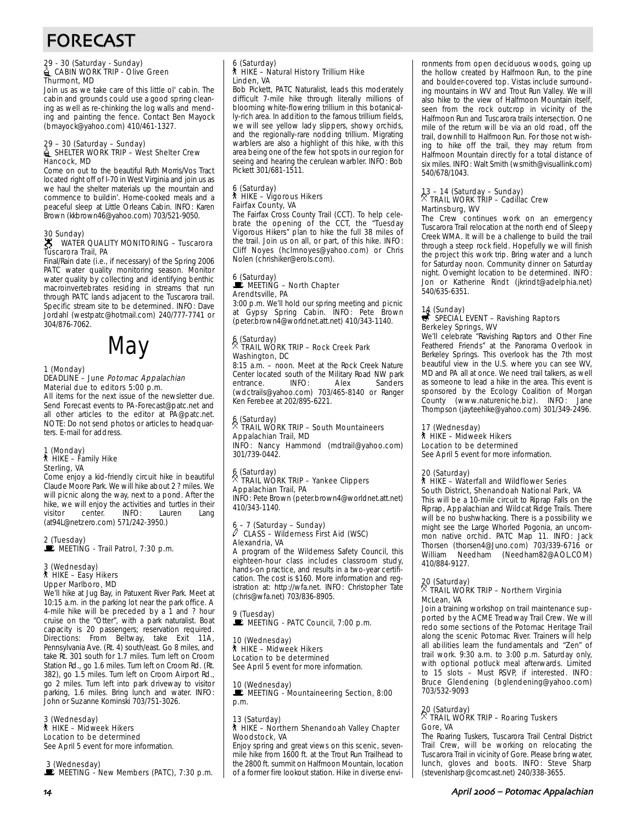# FORECAST

### 29 - 30 (Saturday - Sunday)<br>Laman WORK TRIP - Olive Green Thurmont, MD

Join us as we take care of this little ol' cabin. The cabin and grounds could use a good spring cleaning as well as re-chinking the log walls and mending and painting the fence. Contact Ben Mayock (bmayock@yahoo.com) 410/461-1327.

### 29 – 30 (Saturday – Sunday)<br>Land Shelter WORK TRIP – West Shelter Crew Hancock, MD

Come on out to the beautiful Ruth Morris/Vos Tract located right off of I-70 in West Virginia and join us as we haul the shelter materials up the mountain and commence to buildin'. Home-cooked meals and a peaceful sleep at Little Orleans Cabin. INFO: Karen Brown (kkbrown46@yahoo.com) 703/521-9050.

#### 30 Sunday)  $\mathscr{L}$  WATER QUALITY MONITORING – Tuscarora Sc<br>Tuscarora Trail, PA

Final/Rain date (i.e., if necessary) of the Spring 2006 PATC water quality monitoring season. Monitor water quality by collecting and identifying benthic macroinvertebrates residing in streams that run through PATC lands adjacent to the Tuscarora trail. Specific stream site to be determined. INFO: Dave Jordahl (westpatc@hotmail.com) 240/777-7741 or 304/876-7062.



#### 1 (Monday) DEADLINE – June Potomac Appalachian Material due to editors 5:00 p.m.

All items for the next issue of the newsletter due. Send Forecast events to PA-Forecast@patc.net and all other articles to the editor at PA@patc.net. NOTE: Do not send photos or articles to headquarters. E-mail for address.

### 1 (Monday) ` HIKE – Family Hike Sterling, VA

Come enjoy a kid-friendly circuit hike in beautiful Claude Moore Park. We will hike about 2 ? miles. We will picnic along the way, next to a pond. After the hike, we will enjoy the activities and turtles in their<br>visitor center. INFO: Lauren Lang center. (at94L@netzero.com) 571/242-3950.)

# 2 (Tuesday)<br>■ MEETING - Trail Patrol, 7:30 p.m.

#### 3 (Wednesday) ` HIKE – Easy Hikers Upper Marlboro, MD

We'll hike at Jug Bay, in Patuxent River Park. Meet at 10:15 a.m. in the parking lot near the park office. A 4-mile hike will be preceded by a 1 and ? hour cruise on the "Otter", with a park naturalist. Boat capacity is 20 passengers; reservation required. Directions: From Beltway, take Exit 11A, Pennsylvania Ave. (Rt. 4) south/east. Go 8 miles, and take Rt. 301 south for 1.7 miles. Turn left on Croom Station Rd., go 1.6 miles. Turn left on Croom Rd. (Rt. 382), go 1.5 miles. Turn left on Croom Airport Rd., go 2 miles. Turn left into park driveway to visitor parking, 1.6 miles. Bring lunch and water. INFO: John or Suzanne Kominski 703/751-3026.

#### 3 (Wednesday)

#### ` HIKE – Midweek Hikers

Location to be determined See April 5 event for more information.

3 (Wednesday)

 $\mathbb E$  MEETING - New Members (PATC), 7:30 p.m.

#### 6 (Saturday) ` HIKE – Natural History Trillium Hike Linden, VA

Bob Pickett, PATC Naturalist, leads this moderately difficult 7-mile hike through literally millions of blooming white-flowering trillium in this botanically-rich area. In addition to the famous trillium fields, we will see yellow lady slippers, showy orchids, and the regionally-rare nodding trillium. Migrating warblers are also a highlight of this hike, with this area being one of the few hot spots in our region for seeing and hearing the cerulean warbler. INFO: Bob Pickett 301/681-1511.

### 6 (Saturday) ` HIKE – Vigorous Hikers Fairfax County, VA

The Fairfax Cross County Trail (CCT). To help celebrate the opening of the CCT, the "Tuesday Vigorous Hikers" plan to hike the full 38 miles of the trail. Join us on all, or part, of this hike. INFO: Cliff Noyes (hclmnoyes@yahoo.com) or Chris Nolen (chrishiker@erols.com).

#### 6 (Saturday)  $\mathbf{\mathbf{\mathsf{\mathsf{\mathsf{E}}}}}$  MEETING – North Chapter Arendtsville, PA

3:00 p.m. We'll hold our spring meeting and picnic at Gypsy Spring Cabin. INFO: Pete Brown (peter.brown4@worldnet.att.net) 410/343-1140.

#### $6$  (Saturday) . TRAIL WORK TRIP – Rock Creek Park Washington, DC

8:15 a.m. – noon. Meet at the Rock Creek Nature Center located south of the Military Road NW park<br>entrance. INFO: Alex Sanders entrance. (wdctrails@yahoo.com) 703/465-8140 or Ranger Ken Ferebee at 202/895-6221.

#### 6 (Saturday) . TRAIL WORK TRIP – South Mountaineers Appalachian Trail, MD

INFO: Nancy Hammond (mdtrail@yahoo.com) 301/739-0442.

### 6 (Saturday) . TRAIL WORK TRIP – Yankee Clippers Appalachian Trail, PA

INFO: Pete Brown (peter.brown4@worldnet.att.net) 410/343-1140.

#### - 7 (Saturday – Sunday) a CLASS – Wilderness First Aid (WSC) Alexandria, VA

A program of the Wilderness Safety Council, this eighteen-hour class includes classroom study, hands-on practice, and results in a two-year certification. The cost is \$160. More information and registration at: http://wfa.net. INFO: Christopher Tate (chris@wfa.net) 703/836-8905.

#### 9 (Tuesday)

#### $\mathbf{\dot{E}}$  MEETING - PATC Council, 7:00 p.m.

10 (Wednesday) ` HIKE – Midweek Hikers Location to be determined

See April 5 event for more information.

#### 10 (Wednesday)

MEETING - Mountaineering Section, 8:00 p.m.

#### 13 (Saturday) ` HIKE – Northern Shenandoah Valley Chapter Woodstock, VA

Enjoy spring and great views on this scenic, sevenmile hike from 1600 ft. at the Trout Run Trailhead to the 2800 ft. summit on Halfmoon Mountain, location of a former fire lookout station. Hike in diverse environments from open deciduous woods, going up the hollow created by Halfmoon Run, to the pine and boulder-covered top. Vistas include surrounding mountains in WV and Trout Run Valley. We will also hike to the view of Halfmoon Mountain itself, seen from the rock outcrop in vicinity of the Halfmoon Run and Tuscarora trails intersection. One mile of the return will be via an old road, off the trail, downhill to Halfmoon Run. For those not wishing to hike off the trail, they may return from Halfmoon Mountain directly for a total distance of six miles. INFO: Walt Smith (wsmith@visuallink.com) 540/678/1043.

### 13 – 14 (Saturday – Sunday) . TRAIL WORK TRIP – Cadillac Crew Martinsburg, WV

The Crew continues work on an emergency Tuscarora Trail relocation at the north end of Sleepy Creek WMA. It will be a challenge to build the trail through a steep rock field. Hopefully we will finish the project this work trip. Bring water and a lunch for Saturday noon. Community dinner on Saturday night. Overnight location to be determined. INFO: Jon or Katherine Rindt (jkrindt@adelphia.net) 540/635-6351.

### 14 (Sunday)<br>
SPECIAL EVENT – Ravishing Raptors Berkeley Springs, WV

We'll celebrate "Ravishing Raptors and Other Fine Feathered Friends" at the Panorama Overlook in Berkeley Springs. This overlook has the 7th most beautiful view in the U.S. where you can see WV, MD and PA all at once. We need trail talkers, as well as someone to lead a hike in the area. This event is sponsored by the Ecology Coalition of Morgan County (www.natureniche.biz). INFO: Jane Thompson (jayteehike@yahoo.com) 301/349-2496.

#### 17 (Wednesday)

` HIKE – Midweek Hikers Location to be determined

See April 5 event for more information.

#### 20 (Saturday)

#### ` HIKE – Waterfall and Wildflower Series South District, Shenandoah National Park, VA

This will be a 10-mile circuit to Riprap Falls on the Riprap, Appalachian and Wildcat Ridge Trails. There will be no bushwhacking. There is a possibility we might see the Large Whorled Pogonia, an uncommon native orchid. PATC Map 11. INFO: Jack Thorsen (thorsen4@Juno.com) 703/339-6716 or Needham (Needham82@AOL.COM) 410/884-9127.

#### 20 (Saturday)  $\overline{\mathbb{X}}$  TRAIL WORK TRIP – Northern Virginia McLean, VA

Join a training workshop on trail maintenance supported by the ACME Treadway Trail Crew. We will redo some sections of the Potomac Heritage Trail along the scenic Potomac River. Trainers will help all abilities learn the fundamentals and "Zen" of trail work. 9:30 a.m. to 3:00 p.m. Saturday only, with optional potluck meal afterwards. Limited to 15 slots – Must RSVP, if interested. INFO: Bruce Glendening (bglendening@yahoo.com) 703/532-9093

# 20 (Saturday) . TRAIL WORK TRIP – Roaring Tuskers

Gore, VA

The Roaring Tuskers, Tuscarora Trail Central District Trail Crew, will be working on relocating the Tuscarora Trail in vicinity of Gore. Please bring water, lunch, gloves and boots. INFO: Steve Sharp (stevenlsharp@comcast.net) 240/338-3655.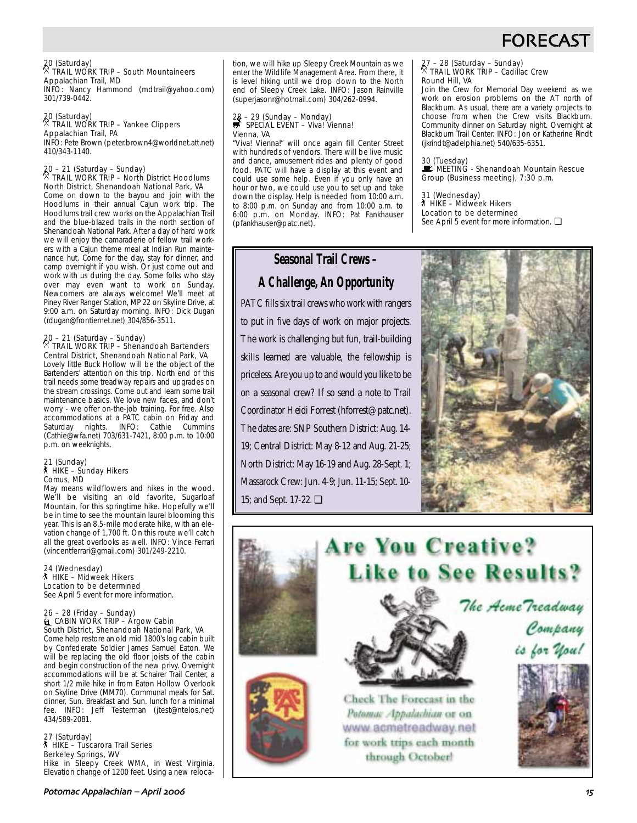

27 – 28 (Saturday – Sunday) . TRAIL WORK TRIP – Cadillac Crew

(jkrindt@adelphia.net) 540/635-6351.

31 (Wednesday) ` HIKE – Midweek Hikers Location to be determined

Join the Crew for Memorial Day weekend as we work on erosion problems on the AT north of Blackburn. As usual, there are a variety projects to choose from when the Crew visits Blackburn. Community dinner on Saturday night. Overnight at Blackburn Trail Center. INFO: Jon or Katherine Rindt

30 (Tuesday)<br>■ MEETING - Shenandoah Mountain Rescue Group (Business meeting), 7:30 p.m.

See April 5 event for more information. □

Round Hill, VA

#### $20$  (Saturday) . TRAIL WORK TRIP – South Mountaineers Appalachian Trail, MD

INFO: Nancy Hammond (mdtrail@yahoo.com) 301/739-0442.

#### 20 (Saturday) . TRAIL WORK TRIP – Yankee Clippers Appalachian Trail, PA INFO: Pete Brown (peter.brown4@worldnet.att.net)

410/343-1140.

#### 20 – 21 (Saturday – Sunday) . TRAIL WORK TRIP – North District Hoodlums North District, Shenandoah National Park, VA

Come on down to the bayou and join with the Hoodlums in their annual Cajun work trip. The Hoodlums trail crew works on the Appalachian Trail and the blue-blazed trails in the north section of Shenandoah National Park. After a day of hard work we will enjoy the camaraderie of fellow trail workers with a Cajun theme meal at Indian Run maintenance hut. Come for the day, stay for dinner, and camp overnight if you wish. Or just come out and work with us during the day. Some folks who stay over may even want to work on Sunday. Newcomers are always welcome! We'll meet at Piney River Ranger Station, MP 22 on Skyline Drive, at 9:00 a.m. on Saturday morning. INFO: Dick Dugan (rdugan@frontiernet.net) 304/856-3511.

# 20 – 21 (Saturday – Sunday) . TRAIL WORK TRIP – Shenandoah Bartenders

Central District, Shenandoah National Park, VA Lovely little Buck Hollow will be the object of the Bartenders' attention on this trip. North end of this trail needs some treadway repairs and upgrades on the stream crossings. Come out and learn some trail maintenance basics. We love new faces, and don't worry - we offer on-the-job training. For free. Also accommodations at a PATC cabin on Friday and Saturday nights. INFO: Cathie Cummins (Cathie@wfa.net) 703/631-7421, 8:00 p.m. to 10:00 p.m. on weeknights.

### 21 (Sunday) ` HIKE – Sunday Hikers Comus, MD

May means wildflowers and hikes in the wood. We'll be visiting an old favorite, Sugarloaf Mountain, for this springtime hike. Hopefully we'll be in time to see the mountain laurel blooming this year. This is an 8.5-mile moderate hike, with an elevation change of 1,700 ft. On this route we'll catch all the great overlooks as well. INFO: Vince Ferrari (vincentferrari@gmail.com) 301/249-2210.

### 24 (Wednesday) ` HIKE – Midweek Hikers Location to be determined

See April 5 event for more information.

### 26 – 28 (Friday – Sunday)<br>Lamburg CABIN WORK TRIP – Argow Cabin South District, Shenandoah National Park, VA

Come help restore an old mid 1800's log cabin built by Confederate Soldier James Samuel Eaton. We will be replacing the old floor joists of the cabin and begin construction of the new privy. Overnight accommodations will be at Schairer Trail Center, a short 1/2 mile hike in from Eaton Hollow Overlook on Skyline Drive (MM70). Communal meals for Sat. dinner, Sun. Breakfast and Sun. lunch for a minimal fee. INFO: Jeff Testerman (jtest@ntelos.net) 434/589-2081.

#### 27 (Saturday) ` HIKE – Tuscarora Trail Series Berkeley Springs, WV

Hike in Sleepy Creek WMA, in West Virginia. Elevation change of 1200 feet. Using a new relocation, we will hike up Sleepy Creek Mountain as we enter the Wildlife Management Area. From there, it is level hiking until we drop down to the North end of Sleepy Creek Lake. INFO: Jason Rainville (superjasonr@hotmail.com) 304/262-0994.

### 28 – 29 (Sunday – Monday)<br><del>s</del> SPECIAL EVENT – Viva! Vienna! Vienna, VA

"Viva! Vienna!" will once again fill Center Street with hundreds of vendors. There will be live music and dance, amusement rides and plenty of good food. PATC will have a display at this event and could use some help. Even if you only have an hour or two, we could use you to set up and take down the display. Help is needed from 10:00 a.m. to 8:00 p.m. on Sunday and from 10:00 a.m. to 6:00 p.m. on Monday. INFO: Pat Fankhauser (pfankhauser@patc.net).

### **Seasonal Trail Crews –**

### **A Challenge, An Opportunity**

PATC fills six trail crews who work with rangers to put in five days of work on major projects. The work is challenging but fun, trail-building skills learned are valuable, the fellowship is priceless. Are you up to and would you like to be on a seasonal crew? If so send a note to Trail Coordinator Heidi Forrest (hforrest@patc.net). The dates are: SNP Southern District: Aug. 14- 19; Central District: May 8-12 and Aug. 21-25; North District: May 16-19 and Aug. 28-Sept. 1; Massarock Crew: Jun. 4-9; Jun. 11-15; Sept. 10- 15; and Sept. 17-22. ❏



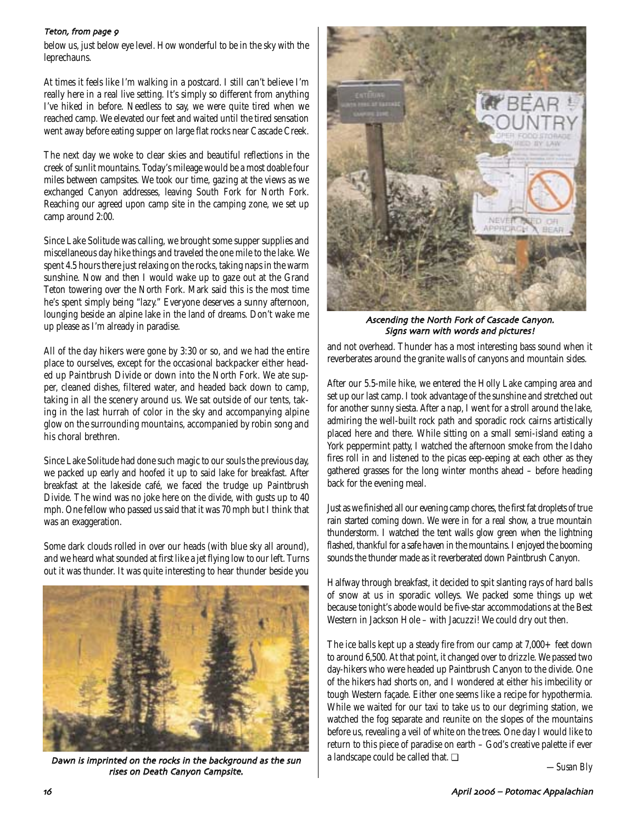#### Teton, from page 9

below us, just below eye level. How wonderful to be in the sky with the leprechauns.

At times it feels like I'm walking in a postcard. I still can't believe I'm really here in a real live setting. It's simply so different from anything I've hiked in before. Needless to say, we were quite tired when we reached camp. We elevated our feet and waited until the tired sensation went away before eating supper on large flat rocks near Cascade Creek.

The next day we woke to clear skies and beautiful reflections in the creek of sunlit mountains. Today's mileage would be a most doable four miles between campsites. We took our time, gazing at the views as we exchanged Canyon addresses, leaving South Fork for North Fork. Reaching our agreed upon camp site in the camping zone, we set up camp around 2:00.

Since Lake Solitude was calling, we brought some supper supplies and miscellaneous day hike things and traveled the one mile to the lake. We spent 4.5 hours there just relaxing on the rocks, taking naps in the warm sunshine. Now and then I would wake up to gaze out at the Grand Teton towering over the North Fork. Mark said this is the most time he's spent simply being "lazy." Everyone deserves a sunny afternoon, lounging beside an alpine lake in the land of dreams. Don't wake me up please as I'm already in paradise.

All of the day hikers were gone by 3:30 or so, and we had the entire place to ourselves, except for the occasional backpacker either headed up Paintbrush Divide or down into the North Fork. We ate supper, cleaned dishes, filtered water, and headed back down to camp, taking in all the scenery around us. We sat outside of our tents, taking in the last hurrah of color in the sky and accompanying alpine glow on the surrounding mountains, accompanied by robin song and his choral brethren.

Since Lake Solitude had done such magic to our souls the previous day, we packed up early and hoofed it up to said lake for breakfast. After breakfast at the lakeside café, we faced the trudge up Paintbrush Divide. The wind was no joke here on the divide, with gusts up to 40 mph. One fellow who passed us said that it was 70 mph but I think that was an exaggeration.

Some dark clouds rolled in over our heads (with blue sky all around), and we heard what sounded at first like a jet flying low to our left. Turns out it was thunder. It was quite interesting to hear thunder beside you



Dawn is imprinted on the rocks in the background as the sun rises on Death Canyon Campsite



Ascending the North Fork of Cascade Canyon Signs warn with words and pictures!

and not overhead. Thunder has a most interesting bass sound when it reverberates around the granite walls of canyons and mountain sides.

After our 5.5-mile hike, we entered the Holly Lake camping area and set up our last camp. I took advantage of the sunshine and stretched out for another sunny siesta. After a nap, I went for a stroll around the lake, admiring the well-built rock path and sporadic rock cairns artistically placed here and there. While sitting on a small semi-island eating a York peppermint patty, I watched the afternoon smoke from the Idaho fires roll in and listened to the picas eep-eeping at each other as they gathered grasses for the long winter months ahead – before heading back for the evening meal.

Just as we finished all our evening camp chores, the first fat droplets of true rain started coming down. We were in for a real show, a true mountain thunderstorm. I watched the tent walls glow green when the lightning flashed, thankful for a safe haven in the mountains. I enjoyed the booming sounds the thunder made as it reverberated down Paintbrush Canyon.

Halfway through breakfast, it decided to spit slanting rays of hard balls of snow at us in sporadic volleys. We packed some things up wet because tonight's abode would be five-star accommodations at the Best Western in Jackson Hole – with Jacuzzi! We could dry out then.

The ice balls kept up a steady fire from our camp at 7,000+ feet down to around 6,500. At that point, it changed over to drizzle. We passed two day-hikers who were headed up Paintbrush Canyon to the divide. One of the hikers had shorts on, and I wondered at either his imbecility or tough Western façade. Either one seems like a recipe for hypothermia. While we waited for our taxi to take us to our degriming station, we watched the fog separate and reunite on the slopes of the mountains before us, revealing a veil of white on the trees. One day I would like to return to this piece of paradise on earth – God's creative palette if ever a landscape could be called that. ❏

*—Susan Bly*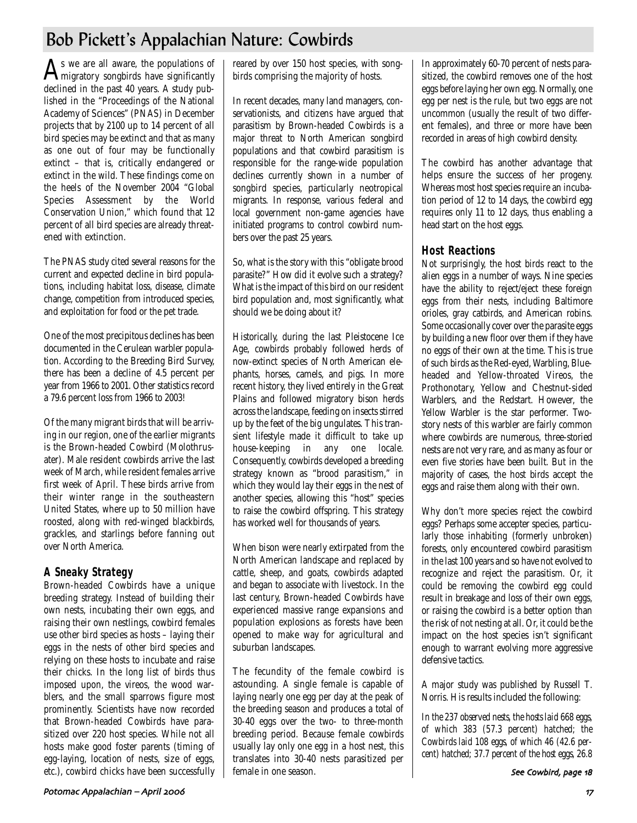# Bob Pickett's Appalachian Nature: Cowbirds

 $A<sub>s</sub>$  we are all aware, the populations of  $A<sub>s</sub>$  in gratory songbirds have significantly declined in the past 40 years. A study published in the "Proceedings of the National Academy of Sciences" (PNAS) in December projects that by 2100 up to 14 percent of all bird species may be extinct and that as many as one out of four may be functionally extinct – that is, critically endangered or extinct in the wild. These findings come on the heels of the November 2004 "Global Species Assessment by the World Conservation Union," which found that 12 percent of all bird species are already threatened with extinction.

The PNAS study cited several reasons for the current and expected decline in bird populations, including habitat loss, disease, climate change, competition from introduced species, and exploitation for food or the pet trade.

One of the most precipitous declines has been documented in the Cerulean warbler population. According to the Breeding Bird Survey, there has been a decline of 4.5 percent per year from 1966 to 2001. Other statistics record a 79.6 percent loss from 1966 to 2003!

Of the many migrant birds that will be arriving in our region, one of the earlier migrants is the Brown-headed Cowbird (Molothrusater). Male resident cowbirds arrive the last week of March, while resident females arrive first week of April. These birds arrive from their winter range in the southeastern United States, where up to 50 million have roosted, along with red-winged blackbirds, grackles, and starlings before fanning out over North America.

### **A Sneaky Strategy**

Brown-headed Cowbirds have a unique breeding strategy. Instead of building their own nests, incubating their own eggs, and raising their own nestlings, cowbird females use other bird species as hosts – laying their eggs in the nests of other bird species and relying on these hosts to incubate and raise their chicks. In the long list of birds thus imposed upon, the vireos, the wood warblers, and the small sparrows figure most prominently. Scientists have now recorded that Brown-headed Cowbirds have parasitized over 220 host species. While not all hosts make good foster parents (timing of egg-laying, location of nests, size of eggs, etc.), cowbird chicks have been successfully reared by over 150 host species, with songbirds comprising the majority of hosts.

In recent decades, many land managers, conservationists, and citizens have argued that parasitism by Brown-headed Cowbirds is a major threat to North American songbird populations and that cowbird parasitism is responsible for the range-wide population declines currently shown in a number of songbird species, particularly neotropical migrants. In response, various federal and local government non-game agencies have initiated programs to control cowbird numbers over the past 25 years.

So, what is the story with this "obligate brood parasite?" How did it evolve such a strategy? What is the impact of this bird on our resident bird population and, most significantly, what should we be doing about it?

Historically, during the last Pleistocene Ice Age, cowbirds probably followed herds of now-extinct species of North American elephants, horses, camels, and pigs. In more recent history, they lived entirely in the Great Plains and followed migratory bison herds across the landscape, feeding on insects stirred up by the feet of the big ungulates. This transient lifestyle made it difficult to take up house-keeping in any one locale. Consequently, cowbirds developed a breeding strategy known as "brood parasitism," in which they would lay their eggs in the nest of another species, allowing this "host" species to raise the cowbird offspring. This strategy has worked well for thousands of years.

When bison were nearly extirpated from the North American landscape and replaced by cattle, sheep, and goats, cowbirds adapted and began to associate with livestock. In the last century, Brown-headed Cowbirds have experienced massive range expansions and population explosions as forests have been opened to make way for agricultural and suburban landscapes.

The fecundity of the female cowbird is astounding. A single female is capable of laying nearly one egg per day at the peak of the breeding season and produces a total of 30-40 eggs over the two- to three-month breeding period. Because female cowbirds usually lay only one egg in a host nest, this translates into 30-40 nests parasitized per female in one season.

In approximately 60-70 percent of nests parasitized, the cowbird removes one of the host eggs before laying her own egg. Normally, one egg per nest is the rule, but two eggs are not uncommon (usually the result of two different females), and three or more have been recorded in areas of high cowbird density.

The cowbird has another advantage that helps ensure the success of her progeny. Whereas most host species require an incubation period of 12 to 14 days, the cowbird egg requires only 11 to 12 days, thus enabling a head start on the host eggs.

### **Host Reactions**

Not surprisingly, the host birds react to the alien eggs in a number of ways. Nine species have the ability to reject/eject these foreign eggs from their nests, including Baltimore orioles, gray catbirds, and American robins. Some occasionally cover over the parasite eggs by building a new floor over them if they have no eggs of their own at the time. This is true of such birds as the Red-eyed, Warbling, Blueheaded and Yellow-throated Vireos, the Prothonotary, Yellow and Chestnut-sided Warblers, and the Redstart. However, the Yellow Warbler is the star performer. Twostory nests of this warbler are fairly common where cowbirds are numerous, three-storied nests are not very rare, and as many as four or even five stories have been built. But in the majority of cases, the host birds accept the eggs and raise them along with their own.

Why don't more species reject the cowbird eggs? Perhaps some accepter species, particularly those inhabiting (formerly unbroken) forests, only encountered cowbird parasitism in the last 100 years and so have not evolved to recognize and reject the parasitism. Or, it could be removing the cowbird egg could result in breakage and loss of their own eggs, or raising the cowbird is a better option than the risk of not nesting at all. Or, it could be the impact on the host species isn't significant enough to warrant evolving more aggressive defensive tactics.

A major study was published by Russell T. Norris. His results included the following:

*In the 237 observed nests, the hosts laid 668 eggs, of which 383 (57.3 percent) hatched; the Cowbirds laid 108 eggs, of which 46 (42.6 percent) hatched; 37.7 percent of the host eggs, 26.8*

See Cowbird, page 18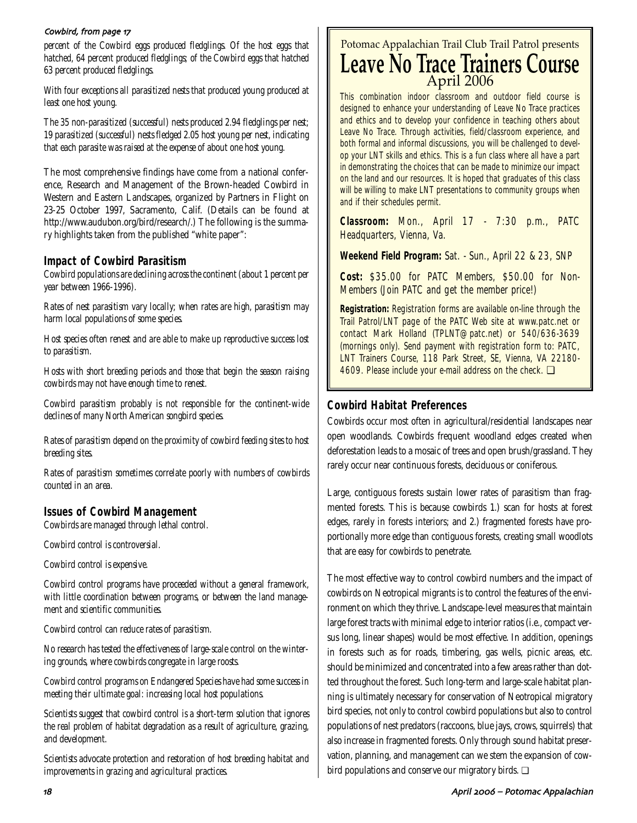#### Cowbird, from page 17

*percent of the Cowbird eggs produced fledglings. Of the host eggs that hatched, 64 percent produced fledglings; of the Cowbird eggs that hatched 63 percent produced fledglings.* 

*With four exceptions all parasitized nests that produced young produced at least one host young.* 

*The 35 non-parasitized (successful) nests produced 2.94 fledglings per nest; 19 parasitized (successful) nests fledged 2.05 host young per nest, indicating that each parasite was raised at the expense of about one host young.* 

The most comprehensive findings have come from a national conference, Research and Management of the Brown-headed Cowbird in Western and Eastern Landscapes, organized by Partners in Flight on 23-25 October 1997, Sacramento, Calif. (Details can be found at http://www.audubon.org/bird/research/.) The following is the summary highlights taken from the published "white paper":

### **Impact of Cowbird Parasitism**

*Cowbird populations are declining across the continent (about 1 percent per year between 1966-1996).*

*Rates of nest parasitism vary locally; when rates are high, parasitism may harm local populations of some species.*

*Host species often renest and are able to make up reproductive success lost to parasitism.*

*Hosts with short breeding periods and those that begin the season raising cowbirds may not have enough time to renest.*

*Cowbird parasitism probably is not responsible for the continent-wide declines of many North American songbird species.* 

*Rates of parasitism depend on the proximity of cowbird feeding sites to host breeding sites.*

*Rates of parasitism sometimes correlate poorly with numbers of cowbirds counted in an area.* 

### **Issues of Cowbird Management**

*Cowbirds are managed through lethal control.* 

*Cowbird control is controversial.* 

*Cowbird control is expensive.*

*Cowbird control programs have proceeded without a general framework, with little coordination between programs, or between the land management and scientific communities.* 

*Cowbird control can reduce rates of parasitism.* 

*No research has tested the effectiveness of large-scale control on the wintering grounds, where cowbirds congregate in large roosts.*

*Cowbird control programs on Endangered Species have had some success in meeting their ultimate goal: increasing local host populations.* 

*Scientists suggest that cowbird control is a short-term solution that ignores the real problem of habitat degradation as a result of agriculture, grazing, and development.* 

*Scientists advocate protection and restoration of host breeding habitat and improvements in grazing and agricultural practices.*

## Potomac Appalachian Trail Club Trail Patrol presents **Leave No Trace Trainers Course** April 2006

This combination indoor classroom and outdoor field course is designed to enhance your understanding of Leave No Trace practices and ethics and to develop your confidence in teaching others about Leave No Trace. Through activities, field/classroom experience, and both formal and informal discussions, you will be challenged to develop your LNT skills and ethics. This is a fun class where all have a part in demonstrating the choices that can be made to minimize our impact on the land and our resources. It is hoped that graduates of this class will be willing to make LNT presentations to community groups when and if their schedules permit.

**Classroom:** Mon., April 17 - 7:30 p.m., PATC Headquarters, Vienna, Va.

**Weekend Field Program:** Sat. - Sun., April 22 & 23, SNP

**Cost:** \$35.00 for PATC Members, \$50.00 for Non-Members (Join PATC and get the member price!)

**Registration:** Registration forms are available on-line through the Trail Patrol/LNT page of the PATC Web site at www.patc.net or contact Mark Holland (TPLNT@patc.net) or 540/636-3639 (mornings only). Send payment with registration form to: PATC, LNT Trainers Course, 118 Park Street, SE, Vienna, VA 22180- 4609. Please include your e-mail address on the check. □

### **Cowbird Habitat Preferences**

Cowbirds occur most often in agricultural/residential landscapes near open woodlands. Cowbirds frequent woodland edges created when deforestation leads to a mosaic of trees and open brush/grassland. They rarely occur near continuous forests, deciduous or coniferous.

Large, contiguous forests sustain lower rates of parasitism than fragmented forests. This is because cowbirds 1.) scan for hosts at forest edges, rarely in forests interiors; and 2.) fragmented forests have proportionally more edge than contiguous forests, creating small woodlots that are easy for cowbirds to penetrate.

The most effective way to control cowbird numbers and the impact of cowbirds on Neotropical migrants is to control the features of the environment on which they thrive. Landscape-level measures that maintain large forest tracts with minimal edge to interior ratios (i.e., compact versus long, linear shapes) would be most effective. In addition, openings in forests such as for roads, timbering, gas wells, picnic areas, etc. should be minimized and concentrated into a few areas rather than dotted throughout the forest. Such long-term and large-scale habitat planning is ultimately necessary for conservation of Neotropical migratory bird species, not only to control cowbird populations but also to control populations of nest predators (raccoons, blue jays, crows, squirrels) that also increase in fragmented forests. Only through sound habitat preservation, planning, and management can we stem the expansion of cowbird populations and conserve our migratory birds. ❏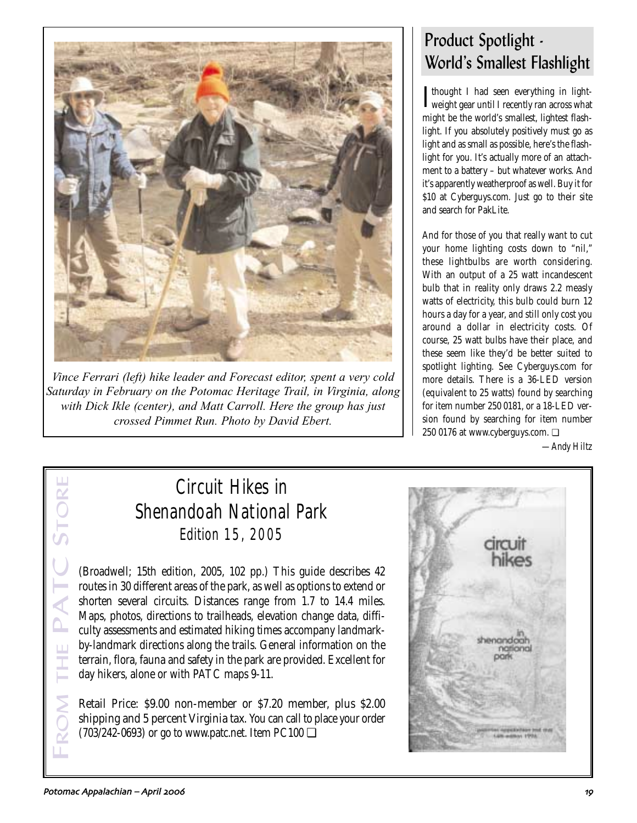

*Vince Ferrari (left) hike leader and Forecast editor, spent a very cold Saturday in February on the Potomac Heritage Trail, in Virginia, along with Dick Ikle (center), and Matt Carroll. Here the group has just crossed Pimmet Run. Photo by David Ebert.* 

# Product Spotlight -World's Smallest Flashlight

**I** thought I had seen everything in light-<br>weight gear until I recently ran across what Thought I had seen everything in lightmight be the world's smallest, lightest flashlight. If you absolutely positively must go as light and as small as possible, here's the flashlight for you. It's actually more of an attachment to a battery – but whatever works. And it's apparently weatherproof as well. Buy it for \$10 at Cyberguys.com. Just go to their site and search for PakLite.

And for those of you that really want to cut your home lighting costs down to "nil," these lightbulbs are worth considering. With an output of a 25 watt incandescent bulb that in reality only draws 2.2 measly watts of electricity, this bulb could burn 12 hours a day for a year, and still only cost you around a dollar in electricity costs. Of course, 25 watt bulbs have their place, and these seem like they'd be better suited to spotlight lighting. See Cyberguys.com for more details. There is a 36-LED version (equivalent to 25 watts) found by searching for item number 250 0181, or a 18-LED version found by searching for item number 250 0176 at www.cyberguys.com. ❏

*—Andy Hiltz*

# Circuit Hikes in Shenandoah National Park *Edition 15, 2005*

(Broadwell; 15th edition, 2005, 102 pp.) This guide describes 42 routes in 30 different areas of the park, as well as options to extend or shorten several circuits. Distances range from 1.7 to 14.4 miles. Maps, photos, directions to trailheads, elevation change data, difficulty assessments and estimated hiking times accompany landmarkby-landmark directions along the trails. General information on the terrain, flora, fauna and safety in the park are provided. Excellent for day hikers, alone or with PATC maps 9-11.

Retail Price: \$9.00 non-member or \$7.20 member, plus \$2.00 shipping and 5 percent Virginia tax. You can call to place your order  $(703/242-0693)$  or go to www.patc.net. Item PC100  $\Box$ 



FROM THE PATC STORE

ATC

STOR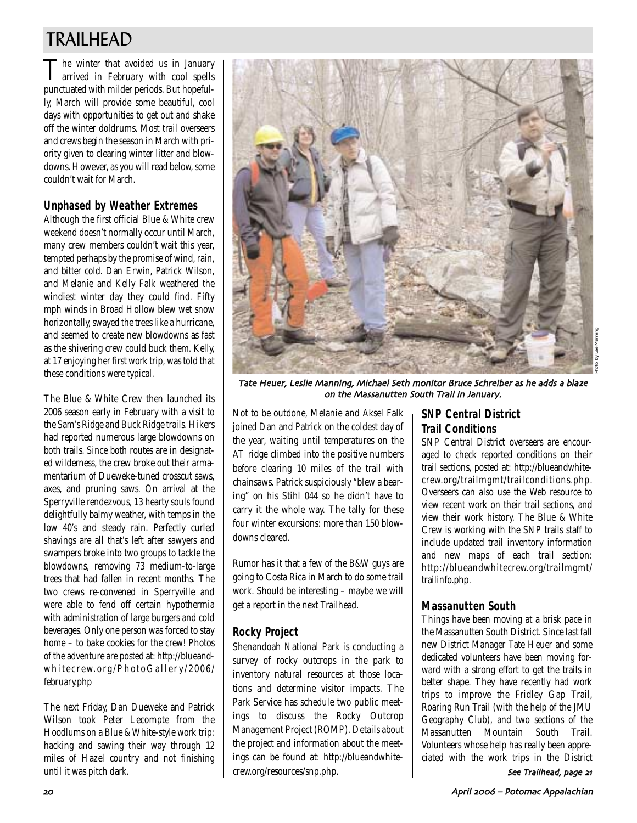# TRAILHEAD

The winter that avoided us in January arrived in February with cool spells punctuated with milder periods. But hopefully, March will provide some beautiful, cool days with opportunities to get out and shake off the winter doldrums. Most trail overseers and crews begin the season in March with priority given to clearing winter litter and blowdowns. However, as you will read below, some couldn't wait for March.

### **Unphased by Weather Extremes**

Although the first official Blue & White crew weekend doesn't normally occur until March, many crew members couldn't wait this year, tempted perhaps by the promise of wind, rain, and bitter cold. Dan Erwin, Patrick Wilson, and Melanie and Kelly Falk weathered the windiest winter day they could find. Fifty mph winds in Broad Hollow blew wet snow horizontally, swayed the trees like a hurricane, and seemed to create new blowdowns as fast as the shivering crew could buck them. Kelly, at 17 enjoying her first work trip, was told that these conditions were typical.

The Blue & White Crew then launched its 2006 season early in February with a visit to the Sam's Ridge and Buck Ridge trails. Hikers had reported numerous large blowdowns on both trails. Since both routes are in designated wilderness, the crew broke out their armamentarium of Dueweke-tuned crosscut saws, axes, and pruning saws. On arrival at the Sperryville rendezvous, 13 hearty souls found delightfully balmy weather, with temps in the low 40's and steady rain. Perfectly curled shavings are all that's left after sawyers and swampers broke into two groups to tackle the blowdowns, removing 73 medium-to-large trees that had fallen in recent months. The two crews re-convened in Sperryville and were able to fend off certain hypothermia with administration of large burgers and cold beverages. Only one person was forced to stay home – to bake cookies for the crew! Photos of the adventure are posted at: http://blueandwhitecrew.org/PhotoGaller y/2006/ february.php

The next Friday, Dan Dueweke and Patrick Wilson took Peter Lecompte from the Hoodlums on a Blue & White-style work trip: hacking and sawing their way through 12 miles of Hazel country and not finishing until it was pitch dark.



Tate Heuer, Leslie Manning, Michael Seth monitor Bruce Schreiber as he adds a blaze on the Massanutten South Trail in January

Not to be outdone, Melanie and Aksel Falk joined Dan and Patrick on the coldest day of the year, waiting until temperatures on the AT ridge climbed into the positive numbers before clearing 10 miles of the trail with chainsaws. Patrick suspiciously "blew a bearing" on his Stihl 044 so he didn't have to carry it the whole way. The tally for these four winter excursions: more than 150 blowdowns cleared.

Rumor has it that a few of the B&W guys are going to Costa Rica in March to do some trail work. Should be interesting – maybe we will get a report in the next Trailhead.

#### **Rocky Project**

Shenandoah National Park is conducting a survey of rocky outcrops in the park to inventory natural resources at those locations and determine visitor impacts. The Park Service has schedule two public meetings to discuss the Rocky Outcrop Management Project (ROMP). Details about the project and information about the meetings can be found at: http://blueandwhitecrew.org/resources/snp.php.

### **SNP Central District Trail Conditions**

SNP Central District overseers are encouraged to check reported conditions on their trail sections, posted at: http://blueandwhitecrew.org/trailmgmt/trailconditions.php. Overseers can also use the Web resource to view recent work on their trail sections, and view their work history. The Blue & White Crew is working with the SNP trails staff to include updated trail inventory information and new maps of each trail section: http://blueandwhitecrew.org/trailmgmt/ trailinfo.php.

### **Massanutten South**

Things have been moving at a brisk pace in the Massanutten South District. Since last fall new District Manager Tate Heuer and some dedicated volunteers have been moving forward with a strong effort to get the trails in better shape. They have recently had work trips to improve the Fridley Gap Trail, Roaring Run Trail (with the help of the JMU Geography Club), and two sections of the Massanutten Mountain South Trail. Volunteers whose help has really been appreciated with the work trips in the District See Trailhead, page 21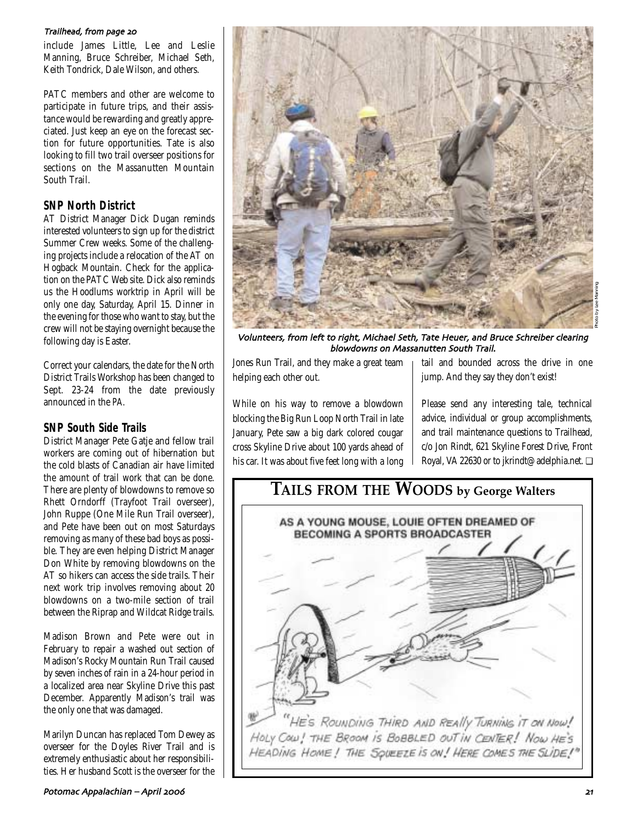#### Trailhead, from page 20

include James Little, Lee and Leslie Manning, Bruce Schreiber, Michael Seth, Keith Tondrick, Dale Wilson, and others.

PATC members and other are welcome to participate in future trips, and their assistance would be rewarding and greatly appreciated. Just keep an eye on the forecast section for future opportunities. Tate is also looking to fill two trail overseer positions for sections on the Massanutten Mountain South Trail.

### **SNP North District**

AT District Manager Dick Dugan reminds interested volunteers to sign up for the district Summer Crew weeks. Some of the challenging projects include a relocation of the AT on Hogback Mountain. Check for the application on the PATC Web site. Dick also reminds us the Hoodlums worktrip in April will be only one day, Saturday, April 15. Dinner in the evening for those who want to stay, but the crew will not be staying overnight because the following day is Easter.

Correct your calendars, the date for the North District Trails Workshop has been changed to Sept. 23-24 from the date previously announced in the *PA*.

### **SNP South Side Trails**

District Manager Pete Gatje and fellow trail workers are coming out of hibernation but the cold blasts of Canadian air have limited the amount of trail work that can be done. There are plenty of blowdowns to remove so Rhett Orndorff (Trayfoot Trail overseer), John Ruppe (One Mile Run Trail overseer), and Pete have been out on most Saturdays removing as many of these bad boys as possible. They are even helping District Manager Don White by removing blowdowns on the AT so hikers can access the side trails. Their next work trip involves removing about 20 blowdowns on a two-mile section of trail between the Riprap and Wildcat Ridge trails.

Madison Brown and Pete were out in February to repair a washed out section of Madison's Rocky Mountain Run Trail caused by seven inches of rain in a 24-hour period in a localized area near Skyline Drive this past December. Apparently Madison's trail was the only one that was damaged.

Marilyn Duncan has replaced Tom Dewey as overseer for the Doyles River Trail and is extremely enthusiastic about her responsibilities. Her husband Scott is the overseer for the



Volunteers, from left to right, Michael Seth, Tate Heuer, and Bruce Schreiber clearing blowdowns on Massanutten South Trail

Jones Run Trail, and they make a great team helping each other out.

While on his way to remove a blowdown blocking the Big Run Loop North Trail in late January, Pete saw a big dark colored cougar cross Skyline Drive about 100 yards ahead of his car. It was about five feet long with a long

tail and bounded across the drive in one jump. And they say they don't exist!

Please send any interesting tale, technical advice, individual or group accomplishments, and trail maintenance questions to Trailhead, c/o Jon Rindt, 621 Skyline Forest Drive, Front Royal, VA 22630 or to jkrindt@adelphia.net. ❏

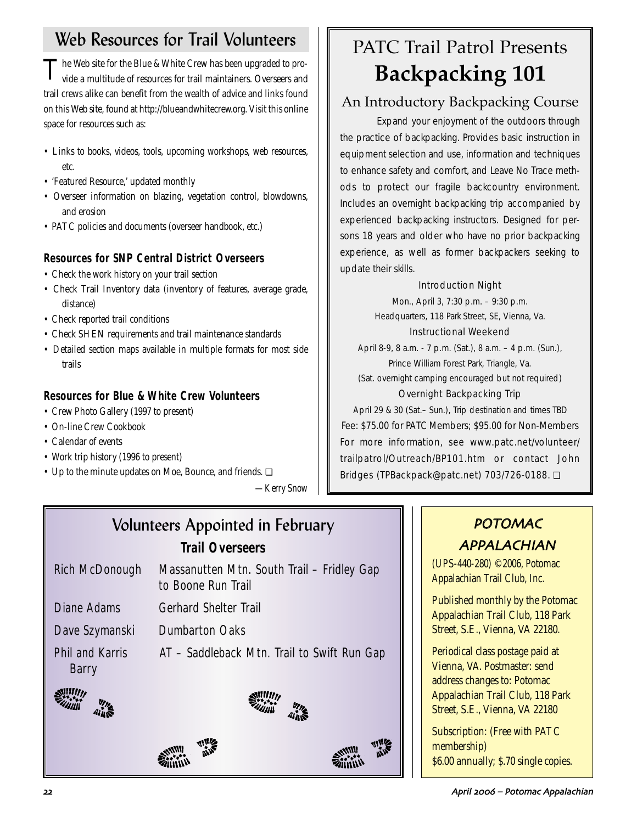# Web Resources for Trail Volunteers

The Web site for the Blue & White Crew has been upgraded to pro-<br>vide a multitude of resources for trail maintainers. Overseers and trail crews alike can benefit from the wealth of advice and links found on this Web site, found at http://blueandwhitecrew.org. Visit this online space for resources such as:

- Links to books, videos, tools, upcoming workshops, web resources, etc.
- 'Featured Resource,' updated monthly
- Overseer information on blazing, vegetation control, blowdowns, and erosion
- PATC policies and documents (overseer handbook, etc.)

## **Resources for SNP Central District Overseers**

- Check the work history on your trail section
- Check Trail Inventory data (inventory of features, average grade, distance)
- Check reported trail conditions
- Check SHEN requirements and trail maintenance standards
- Detailed section maps available in multiple formats for most side trails

## **Resources for Blue & White Crew Volunteers**

- Crew Photo Gallery (1997 to present)
- On-line Crew Cookbook
- Calendar of events
- Work trip history (1996 to present)
- Up to the minute updates on Moe, Bounce, and friends. ❏

*—Kerry Snow*

# PATC Trail Patrol Presents **Backpacking 101**

# An Introductory Backpacking Course

Expand your enjoyment of the outdoors through the practice of backpacking. Provides basic instruction in equipment selection and use, information and techniques to enhance safety and comfort, and Leave No Trace methods to protect our fragile backcountry environment. Includes an overnight backpacking trip accompanied by experienced backpacking instructors. Designed for persons 18 years and older who have no prior backpacking experience, as well as former backpackers seeking to update their skills.

### Introduction Night

Mon., April 3, 7:30 p.m. – 9:30 p.m. Headquarters, 118 Park Street, SE, Vienna, Va.

### Instructional Weekend

April 8-9, 8 a.m. - 7 p.m. (Sat.), 8 a.m. – 4 p.m. (Sun.), Prince William Forest Park, Triangle, Va. (Sat. overnight camping encouraged but not required)

### Overnight Backpacking Trip

April 29 & 30 (Sat.– Sun.), Trip destination and times TBD Fee: \$75.00 for PATC Members; \$95.00 for Non-Members For more information, see www.patc.net/volunteer/ trailpatrol/Outreach/BP101.htm or contact John Bridges (TPBackpack@patc.net) 703/726-0188. ❏

# Volunteers Appointed in February *Trail Overseers*

| Rich McDonough Massanutten Mtn. South Trail – Fridley Gap |
|-----------------------------------------------------------|
| to Boone Run Trail                                        |

- Diane Adams Gerhard Shelter Trail
- Dave Szymanski Dumbarton Oaks

Phil and Karris AT – Saddleback Mtn. Trail to Swift Run Gap Barry







# POTOMAC APPALACHIAN

(UPS-440-280) ©2006, Potomac Appalachian Trail Club, Inc.

Published monthly by the Potomac Appalachian Trail Club, 118 Park Street, S.E., Vienna, VA 22180.

Periodical class postage paid at Vienna, VA. Postmaster: send address changes to: Potomac Appalachian Trail Club, 118 Park Street, S.E., Vienna, VA 22180

Subscription: (Free with PATC membership) \$6.00 annually; \$.70 single copies.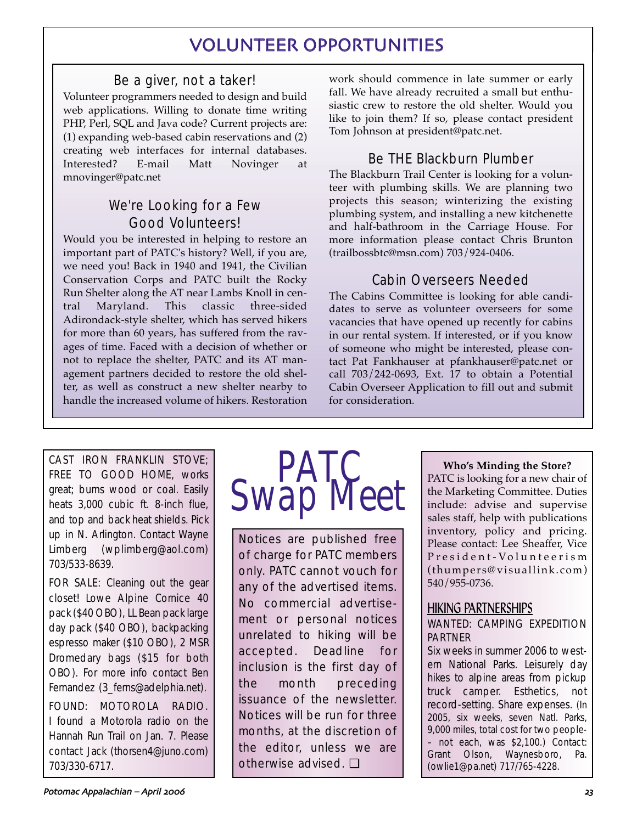# VOLUNTEER OPPORTUNITIES

### Be a giver, not a taker!

Volunteer programmers needed to design and build web applications. Willing to donate time writing PHP, Perl, SQL and Java code? Current projects are: (1) expanding web-based cabin reservations and (2) creating web interfaces for internal databases. Interested? E-mail Matt Novinger at mnovinger@patc.net

## We're Looking for a Few Good Volunteers!

Would you be interested in helping to restore an important part of PATC's history? Well, if you are, we need you! Back in 1940 and 1941, the Civilian Conservation Corps and PATC built the Rocky Run Shelter along the AT near Lambs Knoll in central Maryland. This classic three-sided Adirondack-style shelter, which has served hikers for more than 60 years, has suffered from the ravages of time. Faced with a decision of whether or not to replace the shelter, PATC and its AT management partners decided to restore the old shelter, as well as construct a new shelter nearby to handle the increased volume of hikers. Restoration work should commence in late summer or early fall. We have already recruited a small but enthusiastic crew to restore the old shelter. Would you like to join them? If so, please contact president Tom Johnson at president@patc.net.

## Be THE Blackburn Plumber

The Blackburn Trail Center is looking for a volunteer with plumbing skills. We are planning two projects this season; winterizing the existing plumbing system, and installing a new kitchenette and half-bathroom in the Carriage House. For more information please contact Chris Brunton (trailbossbtc@msn.com) 703/924-0406.

### Cabin Overseers Needed

The Cabins Committee is looking for able candidates to serve as volunteer overseers for some vacancies that have opened up recently for cabins in our rental system. If interested, or if you know of someone who might be interested, please contact Pat Fankhauser at pfankhauser@patc.net or call 703/242-0693, Ext. 17 to obtain a Potential Cabin Overseer Application to fill out and submit for consideration.

CAST IRON FRANKLIN STOVE; FREE TO GOOD HOME, works great; burns wood or coal. Easily heats 3,000 cubic ft. 8-inch flue, and top and back heat shields. Pick up in N. Arlington. Contact Wayne Limberg (wplimberg@aol.com) 703/533-8639.

FOR SALE: Cleaning out the gear closet! Lowe Alpine Cornice 40 pack (\$40 OBO), LL Bean pack large day pack (\$40 OBO), backpacking espresso maker (\$10 OBO), 2 MSR Dromedary bags (\$15 for both OBO). For more info contact Ben Fernandez (3 ferns@adelphia.net).

FOUND: MOTOROLA RADIO. I found a Motorola radio on the Hannah Run Trail on Jan. 7. Please contact Jack (thorsen4@juno.com) 703/330-6717.



Notices are published free of charge for PATC members only. PATC cannot vouch for any of the advertised items. No commercial advertisement or personal notices unrelated to hiking will be accepted. Deadline for inclusion is the first day of the month preceding issuance of the newsletter. Notices will be run for three months, at the discretion of the editor, unless we are otherwise advised. ❏

### **Who's Minding the Store?**

PATC is looking for a new chair of the Marketing Committee. Duties include: advise and supervise sales staff, help with publications inventory, policy and pricing. Please contact: Lee Sheaffer, Vice President-Volunteerism (thumpers@visuallink.com) 540/955-0736.

### HIKING PARTNERSHIPS WANTED: CAMPING EXPEDITION PARTNER

Six weeks in summer 2006 to western National Parks. Leisurely day hikes to alpine areas from pickup truck camper. Esthetics, not record-setting. Share expenses. (In 2005, six weeks, seven Natl. Parks, 9,000 miles, total cost for two people- – not each, was \$2,100.) Contact: Grant Olson, Waynesboro, Pa. (owlie1@pa.net) 717/765-4228.